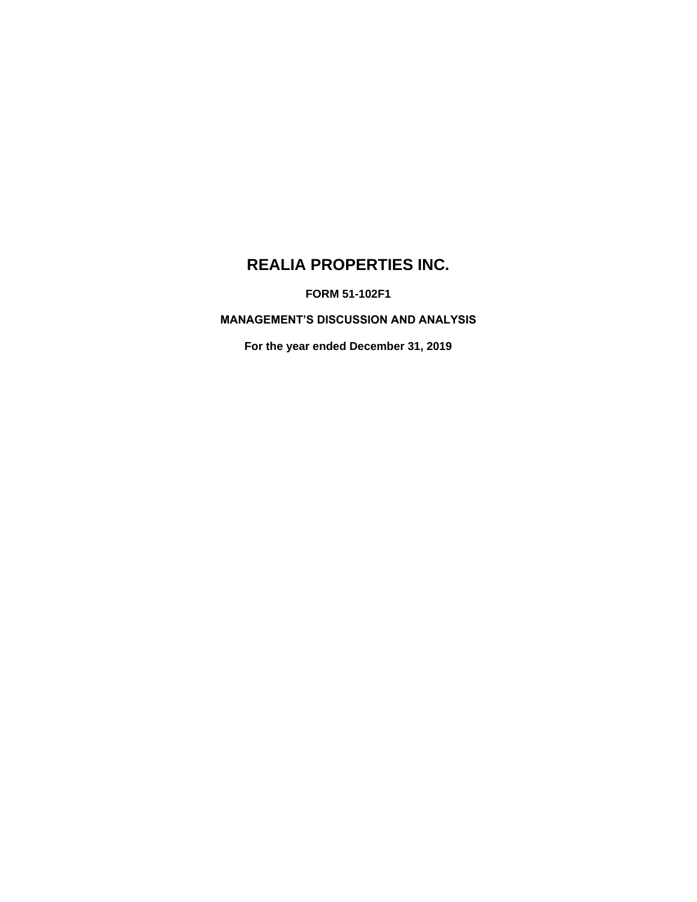# **REALIA PROPERTIES INC.**

**FORM 51-102F1**

**MANAGEMENT'S DISCUSSION AND ANALYSIS**

**For the year ended December 31, 2019**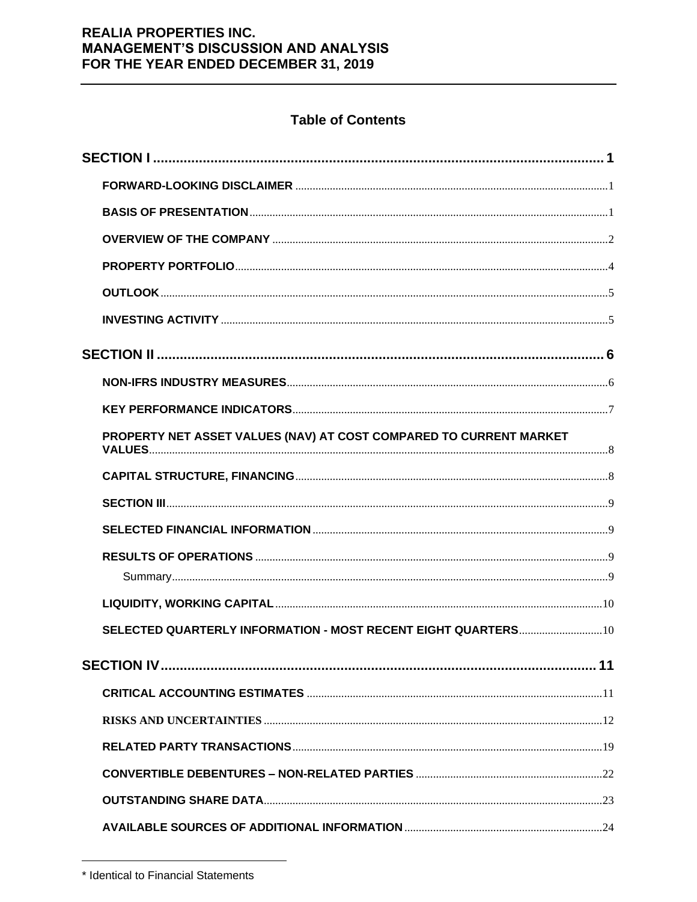# **Table of Contents**

| PROPERTY NET ASSET VALUES (NAV) AT COST COMPARED TO CURRENT MARKET |
|--------------------------------------------------------------------|
|                                                                    |
|                                                                    |
|                                                                    |
|                                                                    |
|                                                                    |
|                                                                    |
| SELECTED QUARTERLY INFORMATION - MOST RECENT EIGHT QUARTERS 10     |
|                                                                    |
|                                                                    |
|                                                                    |
|                                                                    |
|                                                                    |
|                                                                    |
|                                                                    |

<sup>\*</sup> Identical to Financial Statements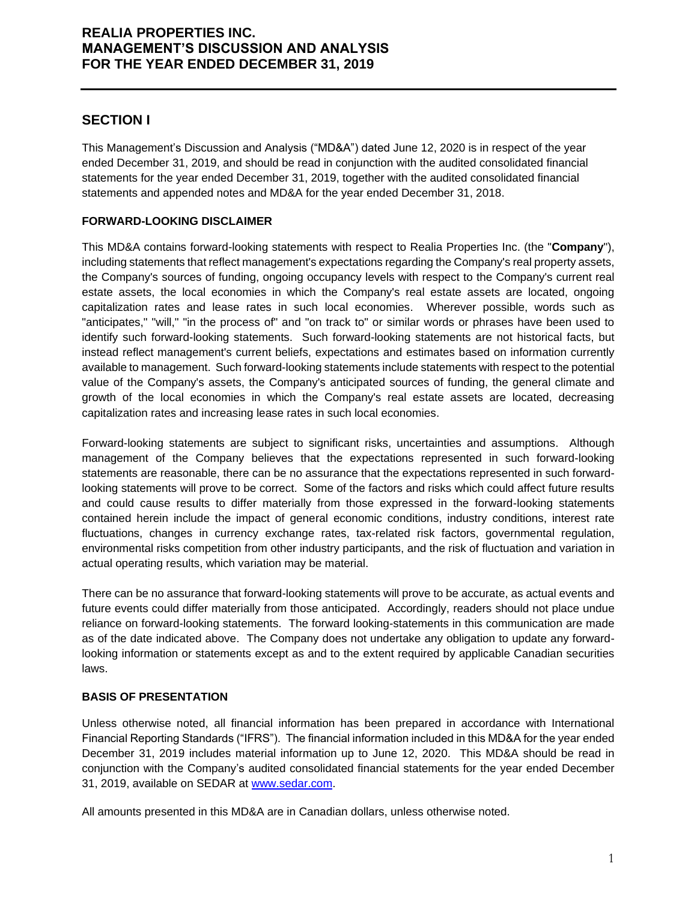# **SECTION I**

This Management's Discussion and Analysis ("MD&A") dated June 12, 2020 is in respect of the year ended December 31, 2019, and should be read in conjunction with the audited consolidated financial statements for the year ended December 31, 2019, together with the audited consolidated financial statements and appended notes and MD&A for the year ended December 31, 2018.

## **FORWARD-LOOKING DISCLAIMER**

This MD&A contains forward-looking statements with respect to Realia Properties Inc. (the "**Company**"), including statements that reflect management's expectations regarding the Company's real property assets, the Company's sources of funding, ongoing occupancy levels with respect to the Company's current real estate assets, the local economies in which the Company's real estate assets are located, ongoing capitalization rates and lease rates in such local economies. Wherever possible, words such as "anticipates," "will," "in the process of" and "on track to" or similar words or phrases have been used to identify such forward-looking statements. Such forward-looking statements are not historical facts, but instead reflect management's current beliefs, expectations and estimates based on information currently available to management. Such forward-looking statements include statements with respect to the potential value of the Company's assets, the Company's anticipated sources of funding, the general climate and growth of the local economies in which the Company's real estate assets are located, decreasing capitalization rates and increasing lease rates in such local economies.

Forward-looking statements are subject to significant risks, uncertainties and assumptions. Although management of the Company believes that the expectations represented in such forward-looking statements are reasonable, there can be no assurance that the expectations represented in such forwardlooking statements will prove to be correct. Some of the factors and risks which could affect future results and could cause results to differ materially from those expressed in the forward-looking statements contained herein include the impact of general economic conditions, industry conditions, interest rate fluctuations, changes in currency exchange rates, tax-related risk factors, governmental regulation, environmental risks competition from other industry participants, and the risk of fluctuation and variation in actual operating results, which variation may be material.

There can be no assurance that forward-looking statements will prove to be accurate, as actual events and future events could differ materially from those anticipated. Accordingly, readers should not place undue reliance on forward-looking statements. The forward looking-statements in this communication are made as of the date indicated above. The Company does not undertake any obligation to update any forwardlooking information or statements except as and to the extent required by applicable Canadian securities laws.

## **BASIS OF PRESENTATION**

Unless otherwise noted, all financial information has been prepared in accordance with International Financial Reporting Standards ("IFRS"). The financial information included in this MD&A for the year ended December 31, 2019 includes material information up to June 12, 2020. This MD&A should be read in conjunction with the Company's audited consolidated financial statements for the year ended December 31, 2019, available on SEDAR at [www.sedar.com.](http://www.sedar.com/)

All amounts presented in this MD&A are in Canadian dollars, unless otherwise noted.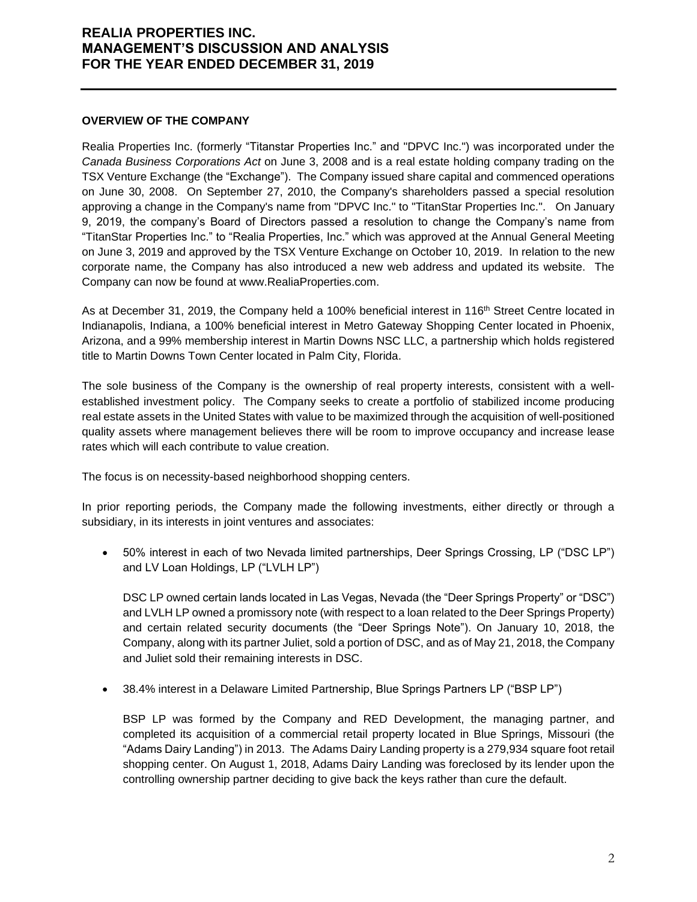### **OVERVIEW OF THE COMPANY**

Realia Properties Inc. (formerly "Titanstar Properties Inc." and "DPVC Inc.") was incorporated under the *Canada Business Corporations Act* on June 3, 2008 and is a real estate holding company trading on the TSX Venture Exchange (the "Exchange"). The Company issued share capital and commenced operations on June 30, 2008. On September 27, 2010, the Company's shareholders passed a special resolution approving a change in the Company's name from "DPVC Inc." to "TitanStar Properties Inc.". On January 9, 2019, the company's Board of Directors passed a resolution to change the Company's name from "TitanStar Properties Inc." to "Realia Properties, Inc." which was approved at the Annual General Meeting on June 3, 2019 and approved by the TSX Venture Exchange on October 10, 2019. In relation to the new corporate name, the Company has also introduced a new web address and updated its website. The Company can now be found at www.RealiaProperties.com.

As at December 31, 2019, the Company held a 100% beneficial interest in 116<sup>th</sup> Street Centre located in Indianapolis, Indiana, a 100% beneficial interest in Metro Gateway Shopping Center located in Phoenix, Arizona, and a 99% membership interest in Martin Downs NSC LLC, a partnership which holds registered title to Martin Downs Town Center located in Palm City, Florida.

The sole business of the Company is the ownership of real property interests, consistent with a wellestablished investment policy. The Company seeks to create a portfolio of stabilized income producing real estate assets in the United States with value to be maximized through the acquisition of well-positioned quality assets where management believes there will be room to improve occupancy and increase lease rates which will each contribute to value creation.

The focus is on necessity-based neighborhood shopping centers.

In prior reporting periods, the Company made the following investments, either directly or through a subsidiary, in its interests in joint ventures and associates:

• 50% interest in each of two Nevada limited partnerships, Deer Springs Crossing, LP ("DSC LP") and LV Loan Holdings, LP ("LVLH LP")

DSC LP owned certain lands located in Las Vegas, Nevada (the "Deer Springs Property" or "DSC") and LVLH LP owned a promissory note (with respect to a loan related to the Deer Springs Property) and certain related security documents (the "Deer Springs Note"). On January 10, 2018, the Company, along with its partner Juliet, sold a portion of DSC, and as of May 21, 2018, the Company and Juliet sold their remaining interests in DSC.

• 38.4% interest in a Delaware Limited Partnership, Blue Springs Partners LP ("BSP LP")

BSP LP was formed by the Company and RED Development, the managing partner, and completed its acquisition of a commercial retail property located in Blue Springs, Missouri (the "Adams Dairy Landing") in 2013. The Adams Dairy Landing property is a 279,934 square foot retail shopping center. On August 1, 2018, Adams Dairy Landing was foreclosed by its lender upon the controlling ownership partner deciding to give back the keys rather than cure the default.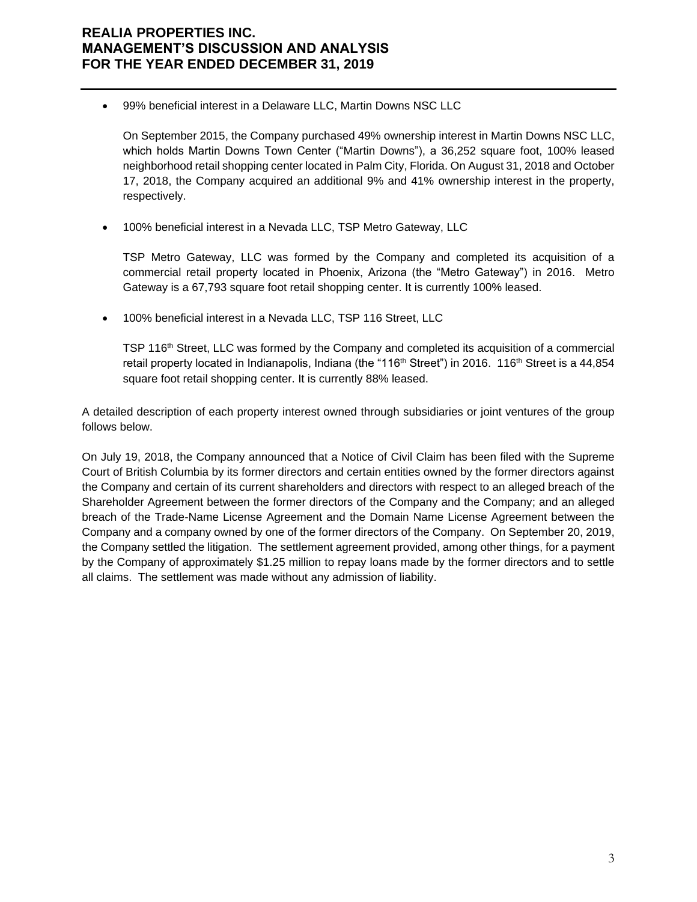• 99% beneficial interest in a Delaware LLC, Martin Downs NSC LLC

On September 2015, the Company purchased 49% ownership interest in Martin Downs NSC LLC, which holds Martin Downs Town Center ("Martin Downs"), a 36,252 square foot, 100% leased neighborhood retail shopping center located in Palm City, Florida. On August 31, 2018 and October 17, 2018, the Company acquired an additional 9% and 41% ownership interest in the property, respectively.

• 100% beneficial interest in a Nevada LLC, TSP Metro Gateway, LLC

TSP Metro Gateway, LLC was formed by the Company and completed its acquisition of a commercial retail property located in Phoenix, Arizona (the "Metro Gateway") in 2016. Metro Gateway is a 67,793 square foot retail shopping center. It is currently 100% leased.

• 100% beneficial interest in a Nevada LLC, TSP 116 Street, LLC

TSP 116th Street, LLC was formed by the Company and completed its acquisition of a commercial retail property located in Indianapolis, Indiana (the "116<sup>th</sup> Street") in 2016. 116<sup>th</sup> Street is a 44,854 square foot retail shopping center. It is currently 88% leased.

A detailed description of each property interest owned through subsidiaries or joint ventures of the group follows below.

On July 19, 2018, the Company announced that a Notice of Civil Claim has been filed with the Supreme Court of British Columbia by its former directors and certain entities owned by the former directors against the Company and certain of its current shareholders and directors with respect to an alleged breach of the Shareholder Agreement between the former directors of the Company and the Company; and an alleged breach of the Trade-Name License Agreement and the Domain Name License Agreement between the Company and a company owned by one of the former directors of the Company. On September 20, 2019, the Company settled the litigation. The settlement agreement provided, among other things, for a payment by the Company of approximately \$1.25 million to repay loans made by the former directors and to settle all claims. The settlement was made without any admission of liability.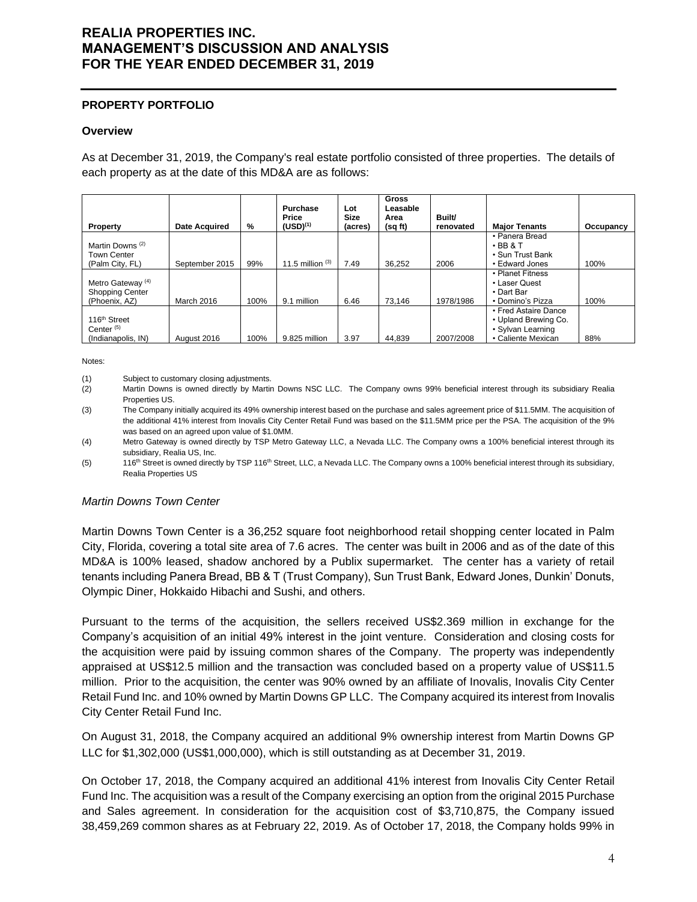### **PROPERTY PORTFOLIO**

#### **Overview**

As at December 31, 2019, the Company's real estate portfolio consisted of three properties. The details of each property as at the date of this MD&A are as follows:

| Property                                                                | <b>Date Acquired</b> | %    | Purchase<br>Price<br>$(USD)^{(1)}$ | Lot<br>Size<br>(acres) | <b>Gross</b><br>Leasable<br>Area<br>(sq ft) | Built/<br>renovated | <b>Major Tenants</b>                                                                    | Occupancy |
|-------------------------------------------------------------------------|----------------------|------|------------------------------------|------------------------|---------------------------------------------|---------------------|-----------------------------------------------------------------------------------------|-----------|
| Martin Downs <sup>(2)</sup><br><b>Town Center</b><br>(Palm City, FL)    | September 2015       | 99%  | 11.5 million $(3)$                 | 7.49                   | 36,252                                      | 2006                | • Panera Bread<br>$\cdot$ BB & T<br>• Sun Trust Bank<br>• Edward Jones                  | 100%      |
| Metro Gateway <sup>(4)</sup><br><b>Shopping Center</b><br>(Phoenix, AZ) | March 2016           | 100% | 9.1 million                        | 6.46                   | 73.146                                      | 1978/1986           | • Planet Fitness<br>• Laser Quest<br>• Dart Bar<br>• Domino's Pizza                     | 100%      |
| 116 <sup>th</sup> Street<br>Center $(5)$<br>(Indianapolis, IN)          | August 2016          | 100% | 9.825 million                      | 3.97                   | 44.839                                      | 2007/2008           | • Fred Astaire Dance<br>• Upland Brewing Co.<br>• Sylvan Learning<br>• Caliente Mexican | 88%       |

Notes:

(1) Subject to customary closing adjustments.

- (2) Martin Downs is owned directly by Martin Downs NSC LLC. The Company owns 99% beneficial interest through its subsidiary Realia Properties US.
- (3) The Company initially acquired its 49% ownership interest based on the purchase and sales agreement price of \$11.5MM. The acquisition of the additional 41% interest from Inovalis City Center Retail Fund was based on the \$11.5MM price per the PSA. The acquisition of the 9% was based on an agreed upon value of \$1.0MM.
- (4) Metro Gateway is owned directly by TSP Metro Gateway LLC, a Nevada LLC. The Company owns a 100% beneficial interest through its subsidiary, Realia US, Inc.
- (5) 116<sup>th</sup> Street is owned directly by TSP 116<sup>th</sup> Street, LLC, a Nevada LLC. The Company owns a 100% beneficial interest through its subsidiary, Realia Properties US

## *Martin Downs Town Center*

Martin Downs Town Center is a 36,252 square foot neighborhood retail shopping center located in Palm City, Florida, covering a total site area of 7.6 acres. The center was built in 2006 and as of the date of this MD&A is 100% leased, shadow anchored by a Publix supermarket. The center has a variety of retail tenants including Panera Bread, BB & T (Trust Company), Sun Trust Bank, Edward Jones, Dunkin' Donuts, Olympic Diner, Hokkaido Hibachi and Sushi, and others.

Pursuant to the terms of the acquisition, the sellers received US\$2.369 million in exchange for the Company's acquisition of an initial 49% interest in the joint venture. Consideration and closing costs for the acquisition were paid by issuing common shares of the Company. The property was independently appraised at US\$12.5 million and the transaction was concluded based on a property value of US\$11.5 million. Prior to the acquisition, the center was 90% owned by an affiliate of Inovalis, Inovalis City Center Retail Fund Inc. and 10% owned by Martin Downs GP LLC. The Company acquired its interest from Inovalis City Center Retail Fund Inc.

On August 31, 2018, the Company acquired an additional 9% ownership interest from Martin Downs GP LLC for \$1,302,000 (US\$1,000,000), which is still outstanding as at December 31, 2019.

On October 17, 2018, the Company acquired an additional 41% interest from Inovalis City Center Retail Fund Inc. The acquisition was a result of the Company exercising an option from the original 2015 Purchase and Sales agreement. In consideration for the acquisition cost of \$3,710,875, the Company issued 38,459,269 common shares as at February 22, 2019. As of October 17, 2018, the Company holds 99% in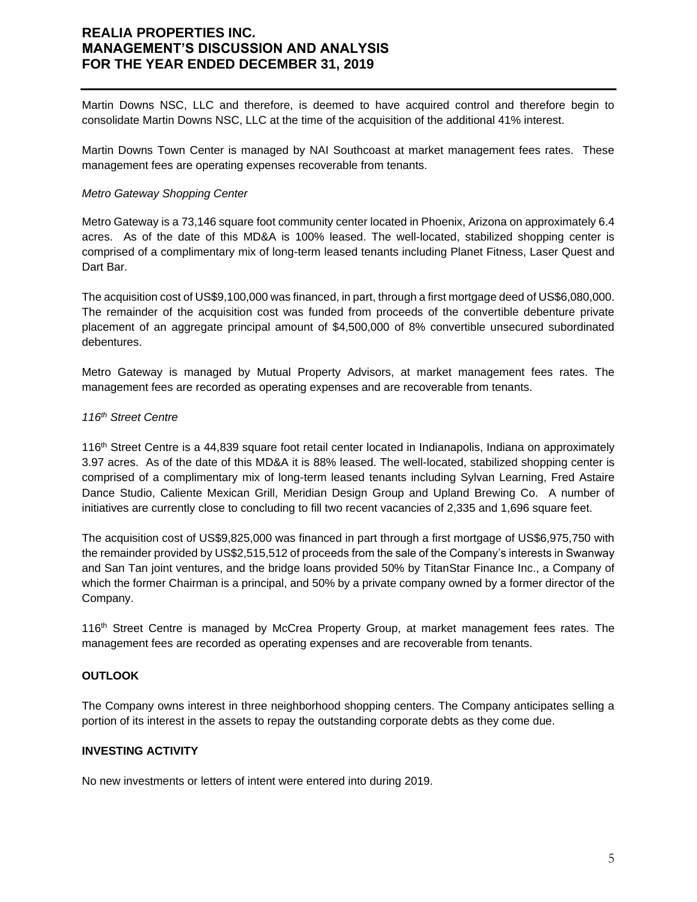Martin Downs NSC, LLC and therefore, is deemed to have acquired control and therefore begin to consolidate Martin Downs NSC, LLC at the time of the acquisition of the additional 41% interest.

Martin Downs Town Center is managed by NAI Southcoast at market management fees rates. These management fees are operating expenses recoverable from tenants.

### *Metro Gateway Shopping Center*

Metro Gateway is a 73,146 square foot community center located in Phoenix, Arizona on approximately 6.4 acres. As of the date of this MD&A is 100% leased. The well-located, stabilized shopping center is comprised of a complimentary mix of long-term leased tenants including Planet Fitness, Laser Quest and Dart Bar.

The acquisition cost of US\$9,100,000 was financed, in part, through a first mortgage deed of US\$6,080,000. The remainder of the acquisition cost was funded from proceeds of the convertible debenture private placement of an aggregate principal amount of \$4,500,000 of 8% convertible unsecured subordinated debentures.

Metro Gateway is managed by Mutual Property Advisors, at market management fees rates. The management fees are recorded as operating expenses and are recoverable from tenants.

### *116th Street Centre*

116th Street Centre is a 44,839 square foot retail center located in Indianapolis, Indiana on approximately 3.97 acres. As of the date of this MD&A it is 88% leased. The well-located, stabilized shopping center is comprised of a complimentary mix of long-term leased tenants including Sylvan Learning, Fred Astaire Dance Studio, Caliente Mexican Grill, Meridian Design Group and Upland Brewing Co. A number of initiatives are currently close to concluding to fill two recent vacancies of 2,335 and 1,696 square feet.

The acquisition cost of US\$9,825,000 was financed in part through a first mortgage of US\$6,975,750 with the remainder provided by US\$2,515,512 of proceeds from the sale of the Company's interests in Swanway and San Tan joint ventures, and the bridge loans provided 50% by TitanStar Finance Inc., a Company of which the former Chairman is a principal, and 50% by a private company owned by a former director of the Company.

116<sup>th</sup> Street Centre is managed by McCrea Property Group, at market management fees rates. The management fees are recorded as operating expenses and are recoverable from tenants.

## **OUTLOOK**

The Company owns interest in three neighborhood shopping centers. The Company anticipates selling a portion of its interest in the assets to repay the outstanding corporate debts as they come due.

### **INVESTING ACTIVITY**

No new investments or letters of intent were entered into during 2019.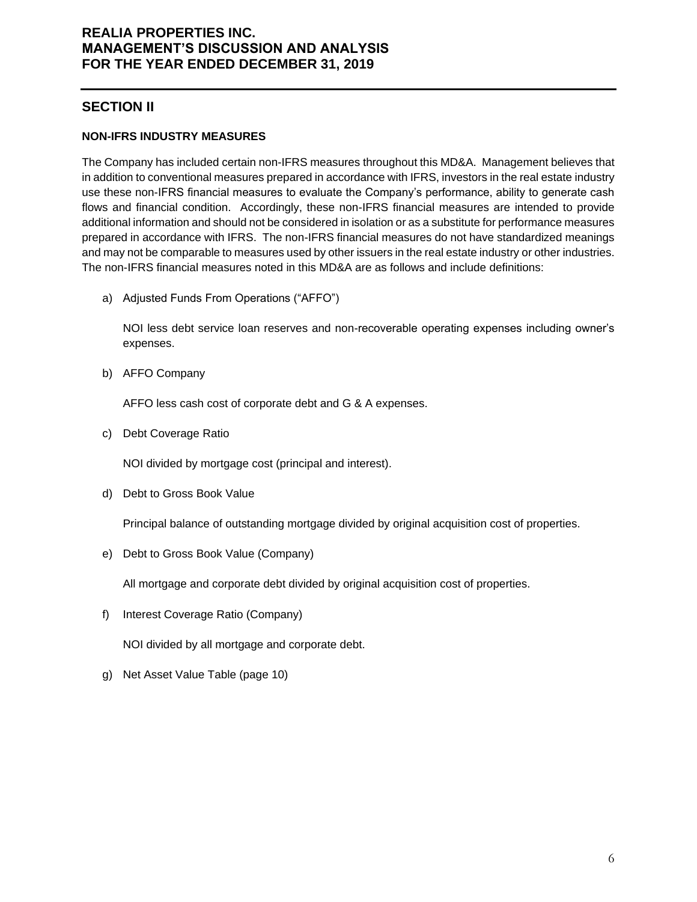## **SECTION II**

## **NON-IFRS INDUSTRY MEASURES**

The Company has included certain non-IFRS measures throughout this MD&A. Management believes that in addition to conventional measures prepared in accordance with IFRS, investors in the real estate industry use these non-IFRS financial measures to evaluate the Company's performance, ability to generate cash flows and financial condition. Accordingly, these non-IFRS financial measures are intended to provide additional information and should not be considered in isolation or as a substitute for performance measures prepared in accordance with IFRS. The non-IFRS financial measures do not have standardized meanings and may not be comparable to measures used by other issuers in the real estate industry or other industries. The non-IFRS financial measures noted in this MD&A are as follows and include definitions:

a) Adjusted Funds From Operations ("AFFO")

NOI less debt service loan reserves and non-recoverable operating expenses including owner's expenses.

b) AFFO Company

AFFO less cash cost of corporate debt and G & A expenses.

c) Debt Coverage Ratio

NOI divided by mortgage cost (principal and interest).

d) Debt to Gross Book Value

Principal balance of outstanding mortgage divided by original acquisition cost of properties.

e) Debt to Gross Book Value (Company)

All mortgage and corporate debt divided by original acquisition cost of properties.

f) Interest Coverage Ratio (Company)

NOI divided by all mortgage and corporate debt.

g) Net Asset Value Table (page 10)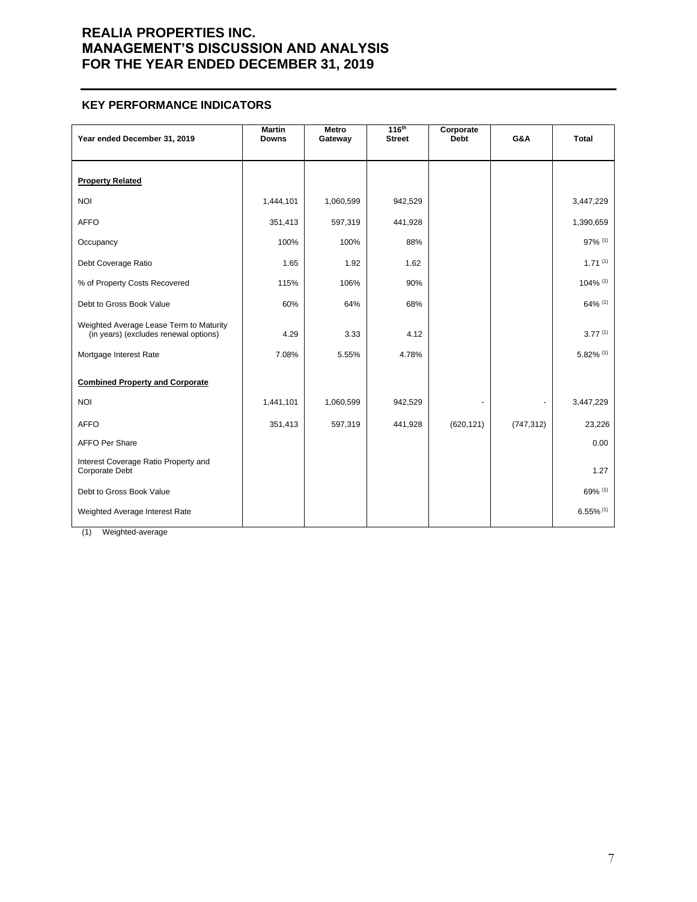### **KEY PERFORMANCE INDICATORS**

| Year ended December 31, 2019                                                     | <b>Martin</b><br><b>Downs</b> | Metro<br>Gateway | 116 <sup>th</sup><br><b>Street</b> | Corporate<br><b>Debt</b> | G&A        | <b>Total</b>            |
|----------------------------------------------------------------------------------|-------------------------------|------------------|------------------------------------|--------------------------|------------|-------------------------|
| <b>Property Related</b>                                                          |                               |                  |                                    |                          |            |                         |
| <b>NOI</b>                                                                       | 1,444,101                     | 1,060,599        | 942,529                            |                          |            | 3,447,229               |
| <b>AFFO</b>                                                                      | 351,413                       | 597,319          | 441,928                            |                          |            | 1,390,659               |
| Occupancy                                                                        | 100%                          | 100%             | 88%                                |                          |            | 97% (1)                 |
| Debt Coverage Ratio                                                              | 1.65                          | 1.92             | 1.62                               |                          |            | $1.71^{(1)}$            |
| % of Property Costs Recovered                                                    | 115%                          | 106%             | 90%                                |                          |            | 104% (1)                |
| Debt to Gross Book Value                                                         | 60%                           | 64%              | 68%                                |                          |            | 64% (1)                 |
| Weighted Average Lease Term to Maturity<br>(in years) (excludes renewal options) | 4.29                          | 3.33             | 4.12                               |                          |            | 3.77(1)                 |
| Mortgage Interest Rate                                                           | 7.08%                         | 5.55%            | 4.78%                              |                          |            | 5.82% (1)               |
| <b>Combined Property and Corporate</b>                                           |                               |                  |                                    |                          |            |                         |
| <b>NOI</b>                                                                       | 1,441,101                     | 1,060,599        | 942,529                            |                          |            | 3,447,229               |
| <b>AFFO</b>                                                                      | 351,413                       | 597,319          | 441,928                            | (620, 121)               | (747, 312) | 23,226                  |
| <b>AFFO Per Share</b>                                                            |                               |                  |                                    |                          |            | 0.00                    |
| Interest Coverage Ratio Property and<br>Corporate Debt                           |                               |                  |                                    |                          |            | 1.27                    |
| Debt to Gross Book Value                                                         |                               |                  |                                    |                          |            | 69% (1)                 |
| Weighted Average Interest Rate                                                   |                               |                  |                                    |                          |            | $6.55\%$ <sup>(1)</sup> |

(1) Weighted-average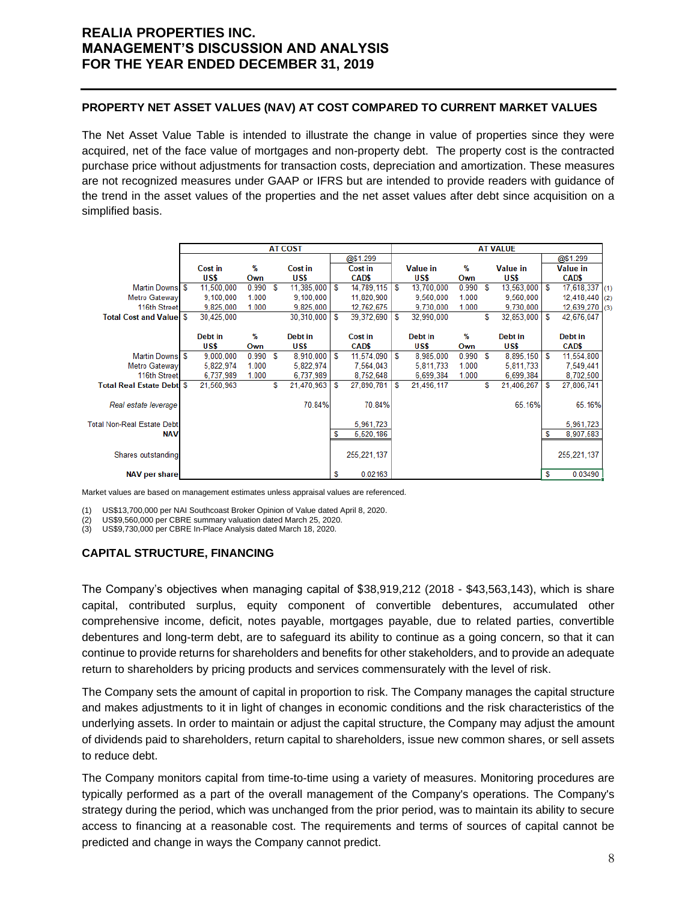## **PROPERTY NET ASSET VALUES (NAV) AT COST COMPARED TO CURRENT MARKET VALUES**

The Net Asset Value Table is intended to illustrate the change in value of properties since they were acquired, net of the face value of mortgages and non-property debt. The property cost is the contracted purchase price without adjustments for transaction costs, depreciation and amortization. These measures are not recognized measures under GAAP or IFRS but are intended to provide readers with guidance of the trend in the asset values of the properties and the net asset values after debt since acquisition on a simplified basis.

|                                   | <b>AT COST</b> |            |               |   |            |    | <b>AT VALUE</b> |   |                 |       |   |                 |            |                 |     |
|-----------------------------------|----------------|------------|---------------|---|------------|----|-----------------|---|-----------------|-------|---|-----------------|------------|-----------------|-----|
|                                   |                |            |               |   |            |    | @\$1.299        |   |                 |       |   |                 |            | @\$1.299        |     |
|                                   |                | Cost in    | %             |   | Cost in    |    | Cost in         |   | <b>Value in</b> | %     |   | <b>Value in</b> |            | <b>Value in</b> |     |
|                                   |                | US\$       | Own           |   | US\$       |    | CAD\$           |   | US\$            | Own   |   | US\$            |            | CAD\$           |     |
| Martin Downs \$                   |                | 11,500,000 | 0.990         | S | 11,385,000 | S  | 14,789,115      | S | 13,700,000      | 0.990 | S | 13,563,000      | l s        | 17,618,337      | (1) |
| Metro Gateway                     |                | 9,100,000  | 1.000         |   | 9,100,000  |    | 11,820,900      |   | 9.560.000       | 1.000 |   | 9,560,000       |            | 12,418,440      | (2) |
| 116th Street                      |                | 9.825.000  | 1.000         |   | 9,825,000  |    | 12,762,675      |   | 9.730.000       | 1.000 |   | 9,730,000       |            | 12,639,270      | (3) |
| <b>Total Cost and Valuel S</b>    |                | 30.425,000 |               |   | 30.310.000 | S  | 39,372,690      | S | 32.990.000      |       | S | 32,853,000      | $\sqrt{5}$ | 42,676,047      |     |
|                                   |                |            |               |   |            |    |                 |   |                 |       |   |                 |            |                 |     |
|                                   |                | Debt in    | $\frac{9}{6}$ |   | Debt in    |    | Cost in         |   | Debt in         | %     |   | Debt in         |            | Debt in         |     |
|                                   |                | US\$       | Own           |   | US\$       |    | CAD\$           |   | US\$            | Own   |   | US\$            |            | CAD\$           |     |
| Martin Downs \$                   |                | 9,000,000  | 0.990         | S | 8,910,000  | ١s | 11,574,090      | S | 8,985,000       | 0.990 | S | 8,895,150 \$    |            | 11,554,800      |     |
| <b>Metro Gateway</b>              |                | 5,822,974  | 1.000         |   | 5,822,974  |    | 7,564,043       |   | 5,811,733       | 1.000 |   | 5,811,733       |            | 7,549,441       |     |
| 116th Street                      |                | 6.737.989  | 1.000         |   | 6,737,989  |    | 8,752,648       |   | 6.699.384       | 1.000 |   | 6.699.384       |            | 8,702,500       |     |
| <b>Total Real Estate Debti \$</b> |                | 21,560,963 |               | S | 21,470,963 | S  | 27,890,781      | S | 21,496,117      |       | S | 21,406,267      | S          | 27,806,741      |     |
|                                   |                |            |               |   |            |    |                 |   |                 |       |   |                 |            |                 |     |
| Real estate leverage              |                |            |               |   | 70.84%     |    | 70.84%          |   |                 |       |   | 65.16%          |            | 65.16%          |     |
|                                   |                |            |               |   |            |    |                 |   |                 |       |   |                 |            |                 |     |
| <b>Total Non-Real Estate Debt</b> |                |            |               |   |            |    | 5,961,723       |   |                 |       |   |                 |            | 5,961,723       |     |
| <b>NAV</b>                        |                |            |               |   |            | S  | 5,520,186       |   |                 |       |   |                 | S          | 8,907,583       |     |
|                                   |                |            |               |   |            |    |                 |   |                 |       |   |                 |            |                 |     |
| Shares outstanding                |                |            |               |   |            |    | 255, 221, 137   |   |                 |       |   |                 |            | 255, 221, 137   |     |
|                                   |                |            |               |   |            |    |                 |   |                 |       |   |                 |            |                 |     |
| <b>NAV per share</b>              |                |            |               |   |            | s  | 0.02163         |   |                 |       |   |                 | S          | 0.03490         |     |

Market values are based on management estimates unless appraisal values are referenced.

(1) US\$13,700,000 per NAI Southcoast Broker Opinion of Value dated April 8, 2020.

(2) US\$9,560,000 per CBRE summary valuation dated March 25, 2020.

(3) US\$9,730,000 per CBRE In-Place Analysis dated March 18, 2020.

#### **CAPITAL STRUCTURE, FINANCING**

The Company's objectives when managing capital of \$38,919,212 (2018 - \$43,563,143), which is share capital, contributed surplus, equity component of convertible debentures, accumulated other comprehensive income, deficit, notes payable, mortgages payable, due to related parties, convertible debentures and long-term debt, are to safeguard its ability to continue as a going concern, so that it can continue to provide returns for shareholders and benefits for other stakeholders, and to provide an adequate return to shareholders by pricing products and services commensurately with the level of risk.

The Company sets the amount of capital in proportion to risk. The Company manages the capital structure and makes adjustments to it in light of changes in economic conditions and the risk characteristics of the underlying assets. In order to maintain or adjust the capital structure, the Company may adjust the amount of dividends paid to shareholders, return capital to shareholders, issue new common shares, or sell assets to reduce debt.

The Company monitors capital from time-to-time using a variety of measures. Monitoring procedures are typically performed as a part of the overall management of the Company's operations. The Company's strategy during the period, which was unchanged from the prior period, was to maintain its ability to secure access to financing at a reasonable cost. The requirements and terms of sources of capital cannot be predicted and change in ways the Company cannot predict.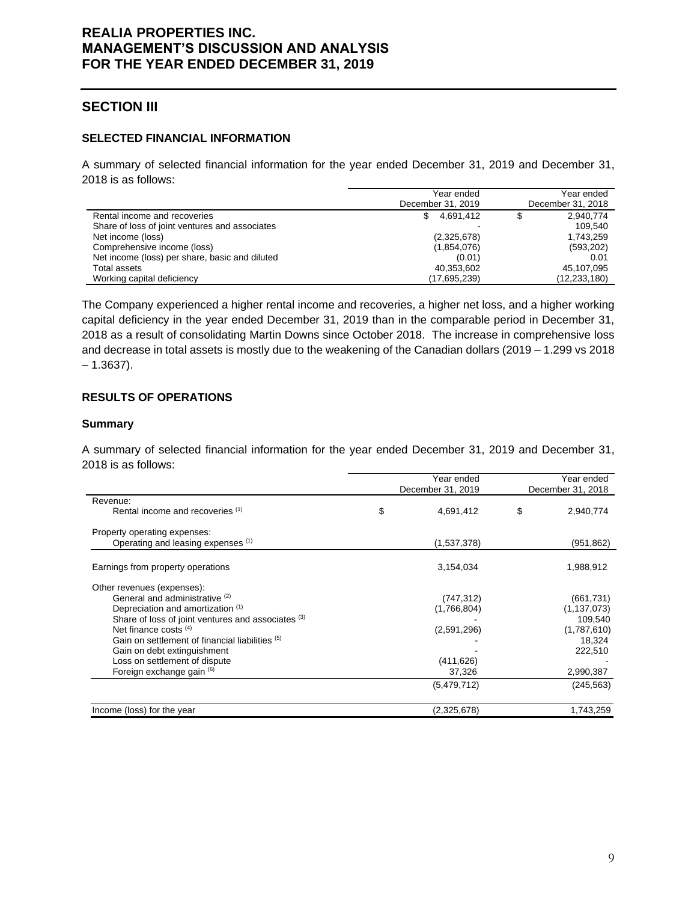# **SECTION III**

## **SELECTED FINANCIAL INFORMATION**

A summary of selected financial information for the year ended December 31, 2019 and December 31, 2018 is as follows:

|                                                | Year ended        | Year ended        |
|------------------------------------------------|-------------------|-------------------|
|                                                | December 31, 2019 | December 31, 2018 |
| Rental income and recoveries                   | 4.691.412<br>S.   | 2,940,774         |
| Share of loss of joint ventures and associates |                   | 109.540           |
| Net income (loss)                              | (2,325,678)       | 1,743,259         |
| Comprehensive income (loss)                    | (1,854,076)       | (593, 202)        |
| Net income (loss) per share, basic and diluted | (0.01)            | 0.01              |
| Total assets                                   | 40,353,602        | 45.107.095        |
| Working capital deficiency                     | (17,695,239)      | (12, 233, 180)    |

The Company experienced a higher rental income and recoveries, a higher net loss, and a higher working capital deficiency in the year ended December 31, 2019 than in the comparable period in December 31, 2018 as a result of consolidating Martin Downs since October 2018. The increase in comprehensive loss and decrease in total assets is mostly due to the weakening of the Canadian dollars (2019 – 1.299 vs 2018  $-1.3637$ ).

## **RESULTS OF OPERATIONS**

## **Summary**

A summary of selected financial information for the year ended December 31, 2019 and December 31, 2018 is as follows:

|                                                    | Year ended<br>December 31, 2019 | Year ended<br>December 31, 2018 |
|----------------------------------------------------|---------------------------------|---------------------------------|
| Revenue:                                           |                                 |                                 |
| Rental income and recoveries (1)                   | \$<br>4,691,412                 | \$<br>2,940,774                 |
| Property operating expenses:                       |                                 |                                 |
| Operating and leasing expenses (1)                 | (1,537,378)                     | (951, 862)                      |
| Earnings from property operations                  | 3,154,034                       | 1,988,912                       |
| Other revenues (expenses):                         |                                 |                                 |
| General and administrative (2)                     | (747, 312)                      | (661, 731)                      |
| Depreciation and amortization (1)                  | (1,766,804)                     | (1, 137, 073)                   |
| Share of loss of joint ventures and associates (3) |                                 | 109,540                         |
| Net finance costs $(4)$                            | (2,591,296)                     | (1,787,610)                     |
| Gain on settlement of financial liabilities (5)    |                                 | 18,324                          |
| Gain on debt extinguishment                        |                                 | 222,510                         |
| Loss on settlement of dispute                      | (411, 626)                      |                                 |
| Foreign exchange gain (6)                          | 37,326                          | 2,990,387                       |
|                                                    | (5,479,712)                     | (245, 563)                      |
| Income (loss) for the year                         | (2,325,678)                     | 1,743,259                       |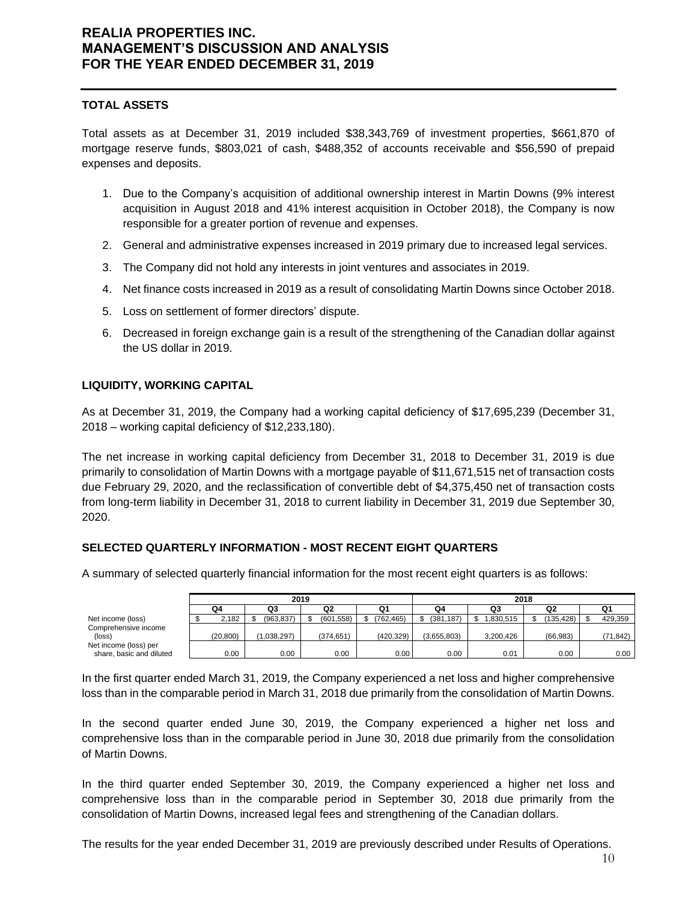## **TOTAL ASSETS**

Total assets as at December 31, 2019 included \$38,343,769 of investment properties, \$661,870 of mortgage reserve funds, \$803,021 of cash, \$488,352 of accounts receivable and \$56,590 of prepaid expenses and deposits.

- 1. Due to the Company's acquisition of additional ownership interest in Martin Downs (9% interest acquisition in August 2018 and 41% interest acquisition in October 2018), the Company is now responsible for a greater portion of revenue and expenses.
- 2. General and administrative expenses increased in 2019 primary due to increased legal services.
- 3. The Company did not hold any interests in joint ventures and associates in 2019.
- 4. Net finance costs increased in 2019 as a result of consolidating Martin Downs since October 2018.
- 5. Loss on settlement of former directors' dispute.
- 6. Decreased in foreign exchange gain is a result of the strengthening of the Canadian dollar against the US dollar in 2019.

## **LIQUIDITY, WORKING CAPITAL**

As at December 31, 2019, the Company had a working capital deficiency of \$17,695,239 (December 31, 2018 – working capital deficiency of \$12,233,180).

The net increase in working capital deficiency from December 31, 2018 to December 31, 2019 is due primarily to consolidation of Martin Downs with a mortgage payable of \$11,671,515 net of transaction costs due February 29, 2020, and the reclassification of convertible debt of \$4,375,450 net of transaction costs from long-term liability in December 31, 2018 to current liability in December 31, 2019 due September 30, 2020.

## **SELECTED QUARTERLY INFORMATION - MOST RECENT EIGHT QUARTERS**

A summary of selected quarterly financial information for the most recent eight quarters is as follows:

|                          | 2019 |           |  |             |  |            | 2018       |  |             |  |           |  |            |          |
|--------------------------|------|-----------|--|-------------|--|------------|------------|--|-------------|--|-----------|--|------------|----------|
|                          | Q4   |           |  | Q3          |  | Q2         | Q1         |  | Q4          |  | Q3        |  | Q2         | Q1       |
| Net income (loss)        |      | 2,182     |  | (963, 837)  |  | (601, 558) | (762, 465) |  | (381.187)   |  | .830.515  |  | (135, 428) | 429,359  |
| Comprehensive income     |      |           |  |             |  |            |            |  |             |  |           |  |            |          |
| (loss)                   |      | (20, 800) |  | (1.038.297) |  | (374.651)  | (420, 329) |  | (3.655.803) |  | 3.200.426 |  | (66, 983)  | (71,842) |
| Net income (loss) per    |      |           |  |             |  |            |            |  |             |  |           |  |            |          |
| share, basic and diluted |      | 0.00      |  | 0.00        |  | 0.00       | 0.00       |  | 0.00        |  | 0.01      |  | 0.00       | 0.00     |

In the first quarter ended March 31, 2019, the Company experienced a net loss and higher comprehensive loss than in the comparable period in March 31, 2018 due primarily from the consolidation of Martin Downs.

In the second quarter ended June 30, 2019, the Company experienced a higher net loss and comprehensive loss than in the comparable period in June 30, 2018 due primarily from the consolidation of Martin Downs.

In the third quarter ended September 30, 2019, the Company experienced a higher net loss and comprehensive loss than in the comparable period in September 30, 2018 due primarily from the consolidation of Martin Downs, increased legal fees and strengthening of the Canadian dollars.

The results for the year ended December 31, 2019 are previously described under Results of Operations.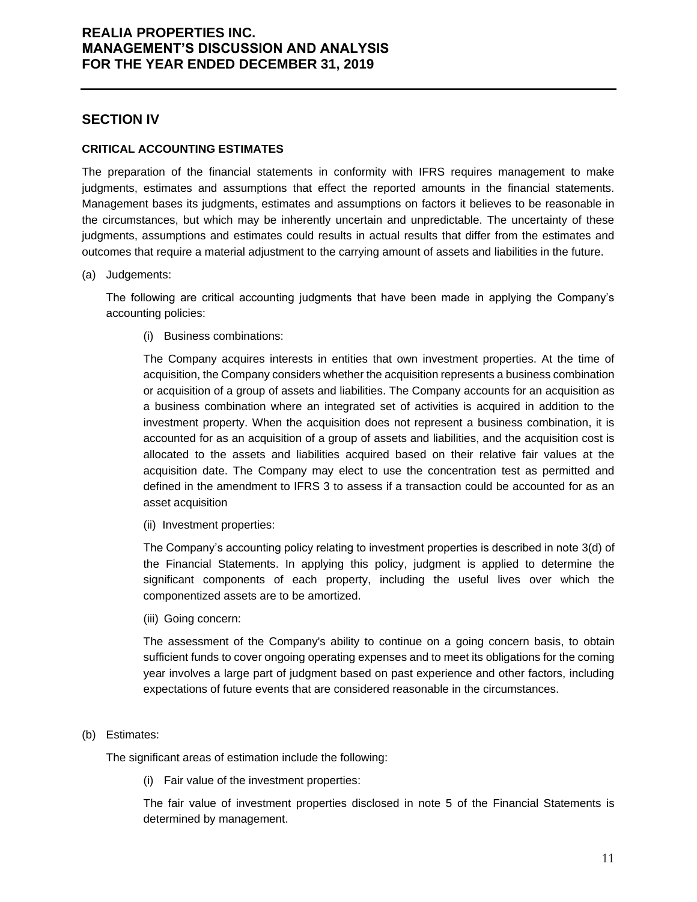## **SECTION IV**

### **CRITICAL ACCOUNTING ESTIMATES**

The preparation of the financial statements in conformity with IFRS requires management to make judgments, estimates and assumptions that effect the reported amounts in the financial statements. Management bases its judgments, estimates and assumptions on factors it believes to be reasonable in the circumstances, but which may be inherently uncertain and unpredictable. The uncertainty of these judgments, assumptions and estimates could results in actual results that differ from the estimates and outcomes that require a material adjustment to the carrying amount of assets and liabilities in the future.

(a) Judgements:

The following are critical accounting judgments that have been made in applying the Company's accounting policies:

(i) Business combinations:

The Company acquires interests in entities that own investment properties. At the time of acquisition, the Company considers whether the acquisition represents a business combination or acquisition of a group of assets and liabilities. The Company accounts for an acquisition as a business combination where an integrated set of activities is acquired in addition to the investment property. When the acquisition does not represent a business combination, it is accounted for as an acquisition of a group of assets and liabilities, and the acquisition cost is allocated to the assets and liabilities acquired based on their relative fair values at the acquisition date. The Company may elect to use the concentration test as permitted and defined in the amendment to IFRS 3 to assess if a transaction could be accounted for as an asset acquisition

(ii) Investment properties:

The Company's accounting policy relating to investment properties is described in note 3(d) of the Financial Statements. In applying this policy, judgment is applied to determine the significant components of each property, including the useful lives over which the componentized assets are to be amortized.

(iii) Going concern:

The assessment of the Company's ability to continue on a going concern basis, to obtain sufficient funds to cover ongoing operating expenses and to meet its obligations for the coming year involves a large part of judgment based on past experience and other factors, including expectations of future events that are considered reasonable in the circumstances.

## (b) Estimates:

The significant areas of estimation include the following:

(i) Fair value of the investment properties:

The fair value of investment properties disclosed in note 5 of the Financial Statements is determined by management.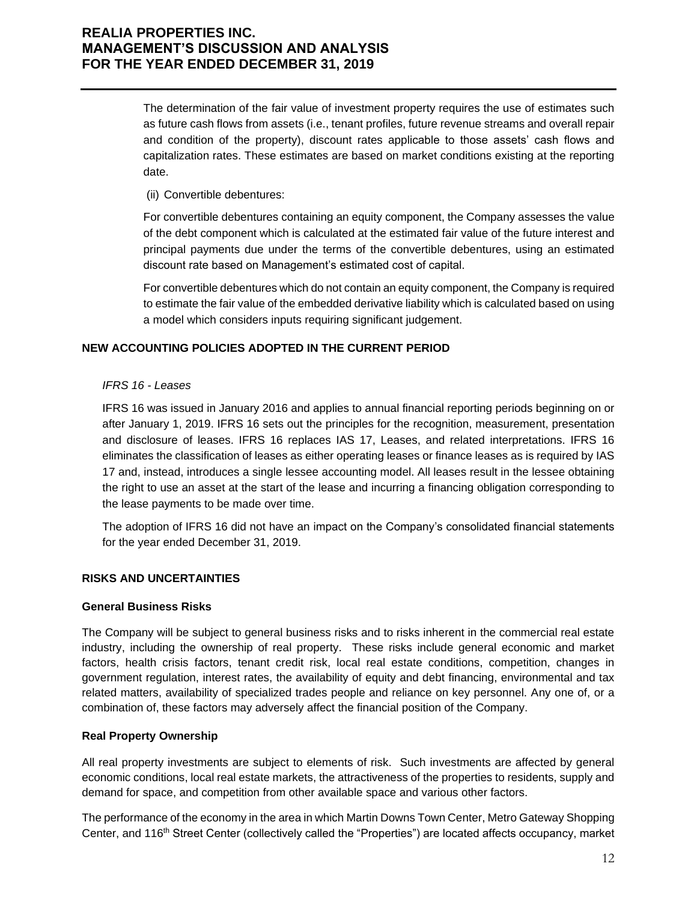The determination of the fair value of investment property requires the use of estimates such as future cash flows from assets (i.e., tenant profiles, future revenue streams and overall repair and condition of the property), discount rates applicable to those assets' cash flows and capitalization rates. These estimates are based on market conditions existing at the reporting date.

(ii) Convertible debentures:

For convertible debentures containing an equity component, the Company assesses the value of the debt component which is calculated at the estimated fair value of the future interest and principal payments due under the terms of the convertible debentures, using an estimated discount rate based on Management's estimated cost of capital.

For convertible debentures which do not contain an equity component, the Company is required to estimate the fair value of the embedded derivative liability which is calculated based on using a model which considers inputs requiring significant judgement.

## **NEW ACCOUNTING POLICIES ADOPTED IN THE CURRENT PERIOD**

### *IFRS 16 - Leases*

IFRS 16 was issued in January 2016 and applies to annual financial reporting periods beginning on or after January 1, 2019. IFRS 16 sets out the principles for the recognition, measurement, presentation and disclosure of leases. IFRS 16 replaces IAS 17, Leases, and related interpretations. IFRS 16 eliminates the classification of leases as either operating leases or finance leases as is required by IAS 17 and, instead, introduces a single lessee accounting model. All leases result in the lessee obtaining the right to use an asset at the start of the lease and incurring a financing obligation corresponding to the lease payments to be made over time.

The adoption of IFRS 16 did not have an impact on the Company's consolidated financial statements for the year ended December 31, 2019.

## **RISKS AND UNCERTAINTIES**

#### **General Business Risks**

The Company will be subject to general business risks and to risks inherent in the commercial real estate industry, including the ownership of real property. These risks include general economic and market factors, health crisis factors, tenant credit risk, local real estate conditions, competition, changes in government regulation, interest rates, the availability of equity and debt financing, environmental and tax related matters, availability of specialized trades people and reliance on key personnel. Any one of, or a combination of, these factors may adversely affect the financial position of the Company.

## **Real Property Ownership**

All real property investments are subject to elements of risk. Such investments are affected by general economic conditions, local real estate markets, the attractiveness of the properties to residents, supply and demand for space, and competition from other available space and various other factors.

The performance of the economy in the area in which Martin Downs Town Center, Metro Gateway Shopping Center, and 116<sup>th</sup> Street Center (collectively called the "Properties") are located affects occupancy, market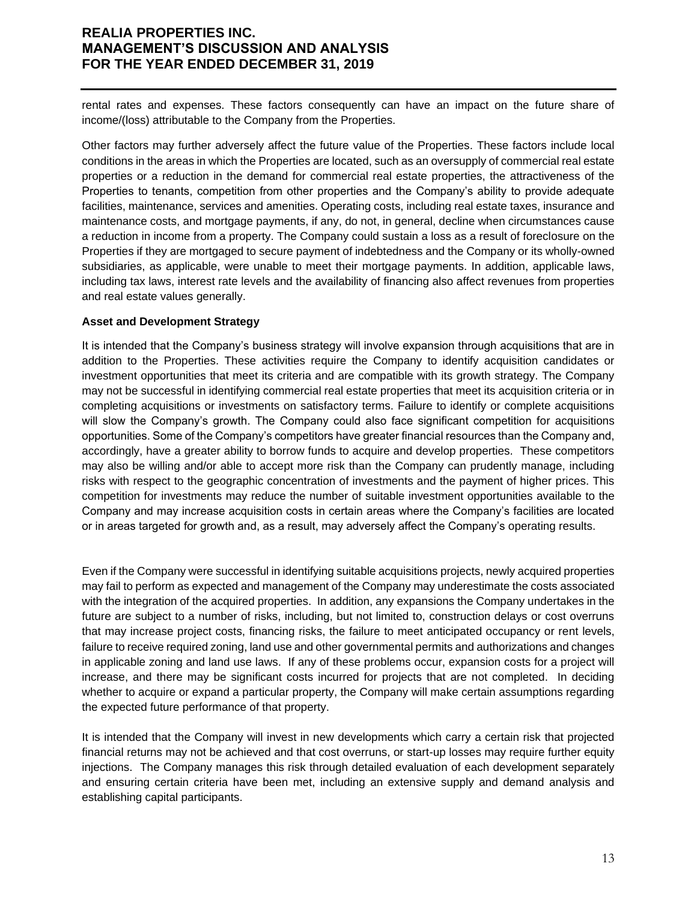rental rates and expenses. These factors consequently can have an impact on the future share of income/(loss) attributable to the Company from the Properties.

Other factors may further adversely affect the future value of the Properties. These factors include local conditions in the areas in which the Properties are located, such as an oversupply of commercial real estate properties or a reduction in the demand for commercial real estate properties, the attractiveness of the Properties to tenants, competition from other properties and the Company's ability to provide adequate facilities, maintenance, services and amenities. Operating costs, including real estate taxes, insurance and maintenance costs, and mortgage payments, if any, do not, in general, decline when circumstances cause a reduction in income from a property. The Company could sustain a loss as a result of foreclosure on the Properties if they are mortgaged to secure payment of indebtedness and the Company or its wholly-owned subsidiaries, as applicable, were unable to meet their mortgage payments. In addition, applicable laws, including tax laws, interest rate levels and the availability of financing also affect revenues from properties and real estate values generally.

### **Asset and Development Strategy**

It is intended that the Company's business strategy will involve expansion through acquisitions that are in addition to the Properties. These activities require the Company to identify acquisition candidates or investment opportunities that meet its criteria and are compatible with its growth strategy. The Company may not be successful in identifying commercial real estate properties that meet its acquisition criteria or in completing acquisitions or investments on satisfactory terms. Failure to identify or complete acquisitions will slow the Company's growth. The Company could also face significant competition for acquisitions opportunities. Some of the Company's competitors have greater financial resources than the Company and, accordingly, have a greater ability to borrow funds to acquire and develop properties. These competitors may also be willing and/or able to accept more risk than the Company can prudently manage, including risks with respect to the geographic concentration of investments and the payment of higher prices. This competition for investments may reduce the number of suitable investment opportunities available to the Company and may increase acquisition costs in certain areas where the Company's facilities are located or in areas targeted for growth and, as a result, may adversely affect the Company's operating results.

Even if the Company were successful in identifying suitable acquisitions projects, newly acquired properties may fail to perform as expected and management of the Company may underestimate the costs associated with the integration of the acquired properties. In addition, any expansions the Company undertakes in the future are subject to a number of risks, including, but not limited to, construction delays or cost overruns that may increase project costs, financing risks, the failure to meet anticipated occupancy or rent levels, failure to receive required zoning, land use and other governmental permits and authorizations and changes in applicable zoning and land use laws. If any of these problems occur, expansion costs for a project will increase, and there may be significant costs incurred for projects that are not completed. In deciding whether to acquire or expand a particular property, the Company will make certain assumptions regarding the expected future performance of that property.

It is intended that the Company will invest in new developments which carry a certain risk that projected financial returns may not be achieved and that cost overruns, or start-up losses may require further equity injections. The Company manages this risk through detailed evaluation of each development separately and ensuring certain criteria have been met, including an extensive supply and demand analysis and establishing capital participants.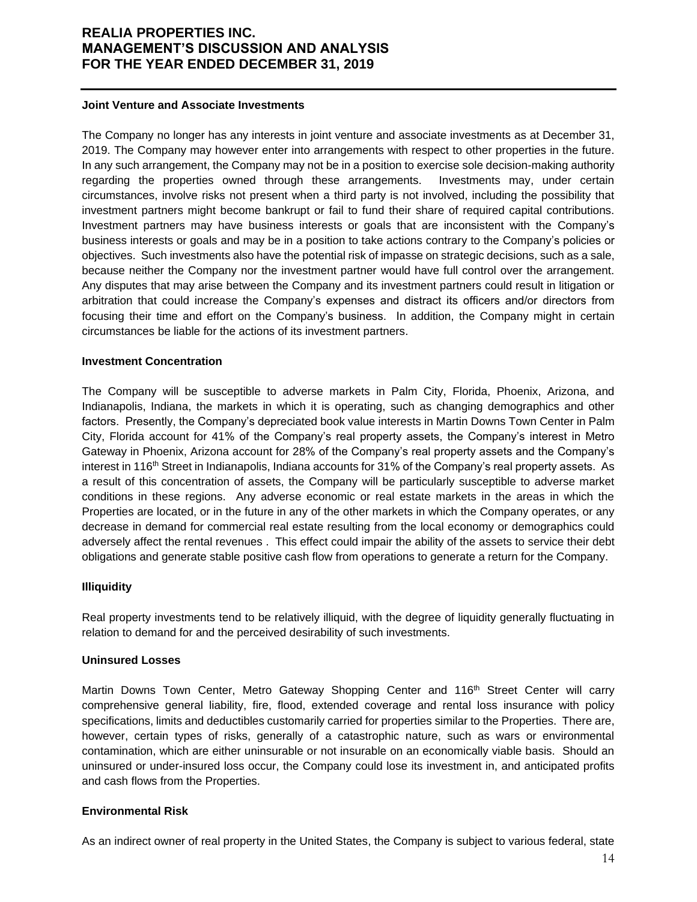#### **Joint Venture and Associate Investments**

The Company no longer has any interests in joint venture and associate investments as at December 31, 2019. The Company may however enter into arrangements with respect to other properties in the future. In any such arrangement, the Company may not be in a position to exercise sole decision-making authority regarding the properties owned through these arrangements. Investments may, under certain circumstances, involve risks not present when a third party is not involved, including the possibility that investment partners might become bankrupt or fail to fund their share of required capital contributions. Investment partners may have business interests or goals that are inconsistent with the Company's business interests or goals and may be in a position to take actions contrary to the Company's policies or objectives. Such investments also have the potential risk of impasse on strategic decisions, such as a sale, because neither the Company nor the investment partner would have full control over the arrangement. Any disputes that may arise between the Company and its investment partners could result in litigation or arbitration that could increase the Company's expenses and distract its officers and/or directors from focusing their time and effort on the Company's business. In addition, the Company might in certain circumstances be liable for the actions of its investment partners.

#### **Investment Concentration**

The Company will be susceptible to adverse markets in Palm City, Florida, Phoenix, Arizona, and Indianapolis, Indiana, the markets in which it is operating, such as changing demographics and other factors. Presently, the Company's depreciated book value interests in Martin Downs Town Center in Palm City, Florida account for 41% of the Company's real property assets, the Company's interest in Metro Gateway in Phoenix, Arizona account for 28% of the Company's real property assets and the Company's interest in 116<sup>th</sup> Street in Indianapolis, Indiana accounts for 31% of the Company's real property assets. As a result of this concentration of assets, the Company will be particularly susceptible to adverse market conditions in these regions. Any adverse economic or real estate markets in the areas in which the Properties are located, or in the future in any of the other markets in which the Company operates, or any decrease in demand for commercial real estate resulting from the local economy or demographics could adversely affect the rental revenues . This effect could impair the ability of the assets to service their debt obligations and generate stable positive cash flow from operations to generate a return for the Company.

#### **Illiquidity**

Real property investments tend to be relatively illiquid, with the degree of liquidity generally fluctuating in relation to demand for and the perceived desirability of such investments.

#### **Uninsured Losses**

Martin Downs Town Center, Metro Gateway Shopping Center and 116<sup>th</sup> Street Center will carry comprehensive general liability, fire, flood, extended coverage and rental loss insurance with policy specifications, limits and deductibles customarily carried for properties similar to the Properties. There are, however, certain types of risks, generally of a catastrophic nature, such as wars or environmental contamination, which are either uninsurable or not insurable on an economically viable basis. Should an uninsured or under-insured loss occur, the Company could lose its investment in, and anticipated profits and cash flows from the Properties.

## **Environmental Risk**

As an indirect owner of real property in the United States, the Company is subject to various federal, state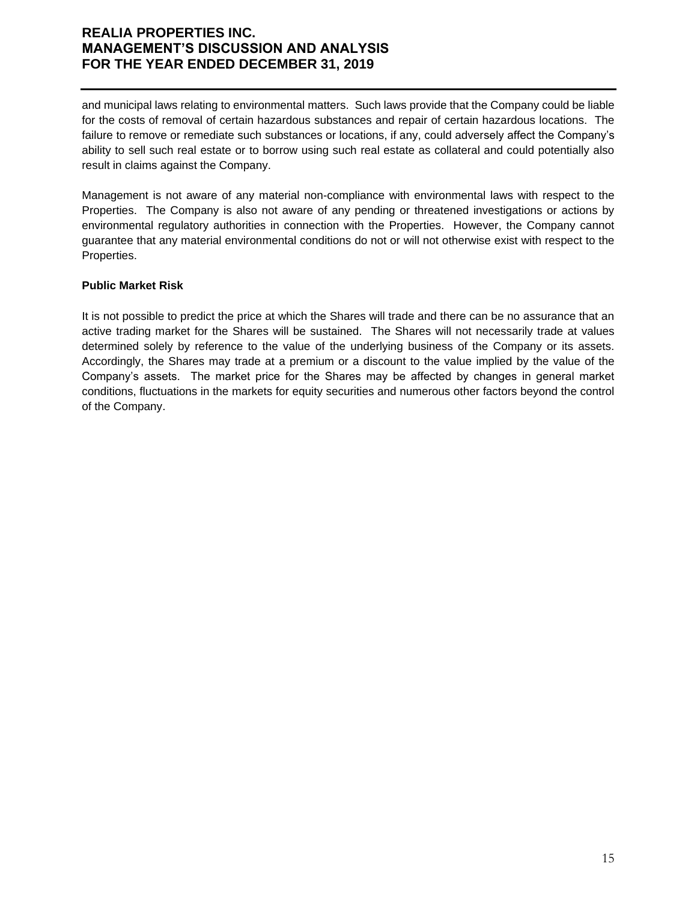and municipal laws relating to environmental matters. Such laws provide that the Company could be liable for the costs of removal of certain hazardous substances and repair of certain hazardous locations. The failure to remove or remediate such substances or locations, if any, could adversely affect the Company's ability to sell such real estate or to borrow using such real estate as collateral and could potentially also result in claims against the Company.

Management is not aware of any material non-compliance with environmental laws with respect to the Properties. The Company is also not aware of any pending or threatened investigations or actions by environmental regulatory authorities in connection with the Properties. However, the Company cannot guarantee that any material environmental conditions do not or will not otherwise exist with respect to the Properties.

## **Public Market Risk**

It is not possible to predict the price at which the Shares will trade and there can be no assurance that an active trading market for the Shares will be sustained. The Shares will not necessarily trade at values determined solely by reference to the value of the underlying business of the Company or its assets. Accordingly, the Shares may trade at a premium or a discount to the value implied by the value of the Company's assets. The market price for the Shares may be affected by changes in general market conditions, fluctuations in the markets for equity securities and numerous other factors beyond the control of the Company.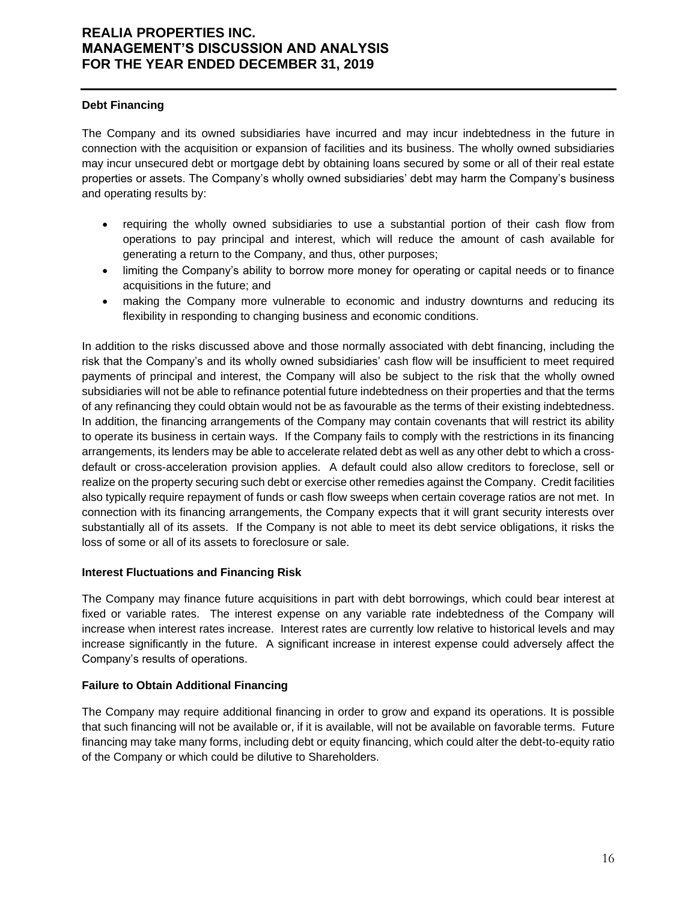### **Debt Financing**

The Company and its owned subsidiaries have incurred and may incur indebtedness in the future in connection with the acquisition or expansion of facilities and its business. The wholly owned subsidiaries may incur unsecured debt or mortgage debt by obtaining loans secured by some or all of their real estate properties or assets. The Company's wholly owned subsidiaries' debt may harm the Company's business and operating results by:

- requiring the wholly owned subsidiaries to use a substantial portion of their cash flow from operations to pay principal and interest, which will reduce the amount of cash available for generating a return to the Company, and thus, other purposes;
- limiting the Company's ability to borrow more money for operating or capital needs or to finance acquisitions in the future; and
- making the Company more vulnerable to economic and industry downturns and reducing its flexibility in responding to changing business and economic conditions.

In addition to the risks discussed above and those normally associated with debt financing, including the risk that the Company's and its wholly owned subsidiaries' cash flow will be insufficient to meet required payments of principal and interest, the Company will also be subject to the risk that the wholly owned subsidiaries will not be able to refinance potential future indebtedness on their properties and that the terms of any refinancing they could obtain would not be as favourable as the terms of their existing indebtedness. In addition, the financing arrangements of the Company may contain covenants that will restrict its ability to operate its business in certain ways. If the Company fails to comply with the restrictions in its financing arrangements, its lenders may be able to accelerate related debt as well as any other debt to which a crossdefault or cross-acceleration provision applies. A default could also allow creditors to foreclose, sell or realize on the property securing such debt or exercise other remedies against the Company. Credit facilities also typically require repayment of funds or cash flow sweeps when certain coverage ratios are not met. In connection with its financing arrangements, the Company expects that it will grant security interests over substantially all of its assets. If the Company is not able to meet its debt service obligations, it risks the loss of some or all of its assets to foreclosure or sale.

#### **Interest Fluctuations and Financing Risk**

The Company may finance future acquisitions in part with debt borrowings, which could bear interest at fixed or variable rates. The interest expense on any variable rate indebtedness of the Company will increase when interest rates increase. Interest rates are currently low relative to historical levels and may increase significantly in the future. A significant increase in interest expense could adversely affect the Company's results of operations.

#### **Failure to Obtain Additional Financing**

The Company may require additional financing in order to grow and expand its operations. It is possible that such financing will not be available or, if it is available, will not be available on favorable terms. Future financing may take many forms, including debt or equity financing, which could alter the debt-to-equity ratio of the Company or which could be dilutive to Shareholders.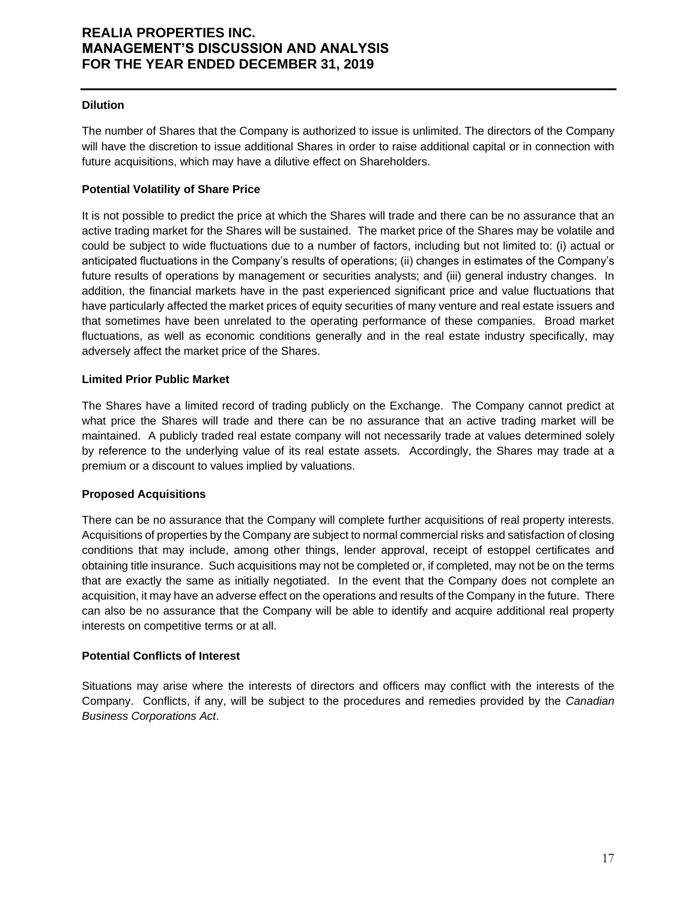### **Dilution**

The number of Shares that the Company is authorized to issue is unlimited. The directors of the Company will have the discretion to issue additional Shares in order to raise additional capital or in connection with future acquisitions, which may have a dilutive effect on Shareholders.

## **Potential Volatility of Share Price**

It is not possible to predict the price at which the Shares will trade and there can be no assurance that an active trading market for the Shares will be sustained. The market price of the Shares may be volatile and could be subject to wide fluctuations due to a number of factors, including but not limited to: (i) actual or anticipated fluctuations in the Company's results of operations; (ii) changes in estimates of the Company's future results of operations by management or securities analysts; and (iii) general industry changes. In addition, the financial markets have in the past experienced significant price and value fluctuations that have particularly affected the market prices of equity securities of many venture and real estate issuers and that sometimes have been unrelated to the operating performance of these companies. Broad market fluctuations, as well as economic conditions generally and in the real estate industry specifically, may adversely affect the market price of the Shares.

### **Limited Prior Public Market**

The Shares have a limited record of trading publicly on the Exchange. The Company cannot predict at what price the Shares will trade and there can be no assurance that an active trading market will be maintained. A publicly traded real estate company will not necessarily trade at values determined solely by reference to the underlying value of its real estate assets. Accordingly, the Shares may trade at a premium or a discount to values implied by valuations.

#### **Proposed Acquisitions**

There can be no assurance that the Company will complete further acquisitions of real property interests. Acquisitions of properties by the Company are subject to normal commercial risks and satisfaction of closing conditions that may include, among other things, lender approval, receipt of estoppel certificates and obtaining title insurance. Such acquisitions may not be completed or, if completed, may not be on the terms that are exactly the same as initially negotiated. In the event that the Company does not complete an acquisition, it may have an adverse effect on the operations and results of the Company in the future. There can also be no assurance that the Company will be able to identify and acquire additional real property interests on competitive terms or at all.

#### **Potential Conflicts of Interest**

Situations may arise where the interests of directors and officers may conflict with the interests of the Company. Conflicts, if any, will be subject to the procedures and remedies provided by the *Canadian Business Corporations Act*.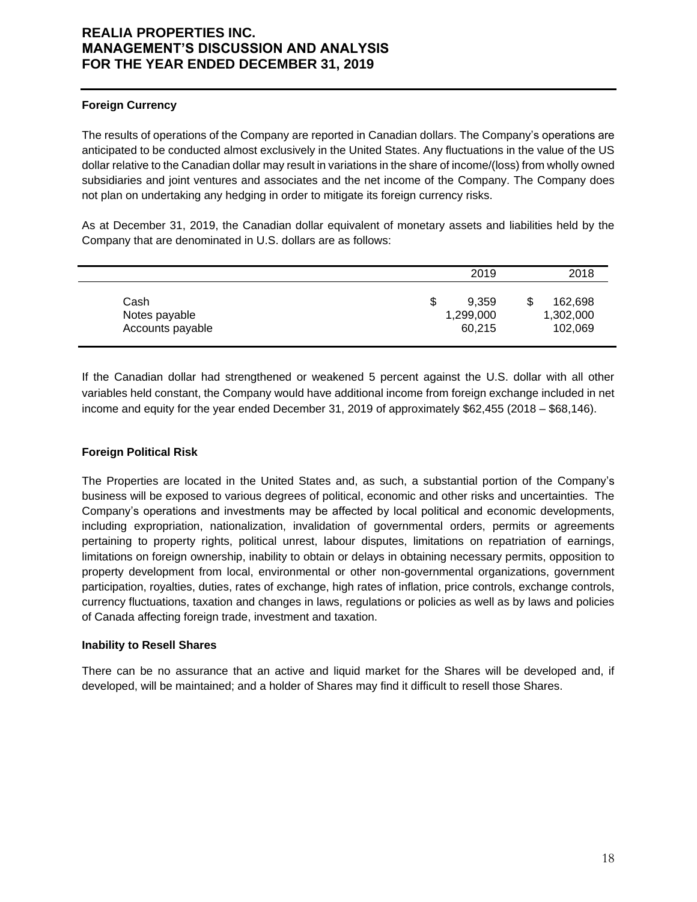## **Foreign Currency**

The results of operations of the Company are reported in Canadian dollars. The Company's operations are anticipated to be conducted almost exclusively in the United States. Any fluctuations in the value of the US dollar relative to the Canadian dollar may result in variations in the share of income/(loss) from wholly owned subsidiaries and joint ventures and associates and the net income of the Company. The Company does not plan on undertaking any hedging in order to mitigate its foreign currency risks.

As at December 31, 2019, the Canadian dollar equivalent of monetary assets and liabilities held by the Company that are denominated in U.S. dollars are as follows:

|                  | 2019       | 2018      |
|------------------|------------|-----------|
| Cash             | 9.359<br>S | 162,698   |
| Notes payable    | 1,299,000  | 1,302,000 |
| Accounts payable | 60,215     | 102,069   |

If the Canadian dollar had strengthened or weakened 5 percent against the U.S. dollar with all other variables held constant, the Company would have additional income from foreign exchange included in net income and equity for the year ended December 31, 2019 of approximately \$62,455 (2018 – \$68,146).

## **Foreign Political Risk**

The Properties are located in the United States and, as such, a substantial portion of the Company's business will be exposed to various degrees of political, economic and other risks and uncertainties. The Company's operations and investments may be affected by local political and economic developments, including expropriation, nationalization, invalidation of governmental orders, permits or agreements pertaining to property rights, political unrest, labour disputes, limitations on repatriation of earnings, limitations on foreign ownership, inability to obtain or delays in obtaining necessary permits, opposition to property development from local, environmental or other non-governmental organizations, government participation, royalties, duties, rates of exchange, high rates of inflation, price controls, exchange controls, currency fluctuations, taxation and changes in laws, regulations or policies as well as by laws and policies of Canada affecting foreign trade, investment and taxation.

## **Inability to Resell Shares**

There can be no assurance that an active and liquid market for the Shares will be developed and, if developed, will be maintained; and a holder of Shares may find it difficult to resell those Shares.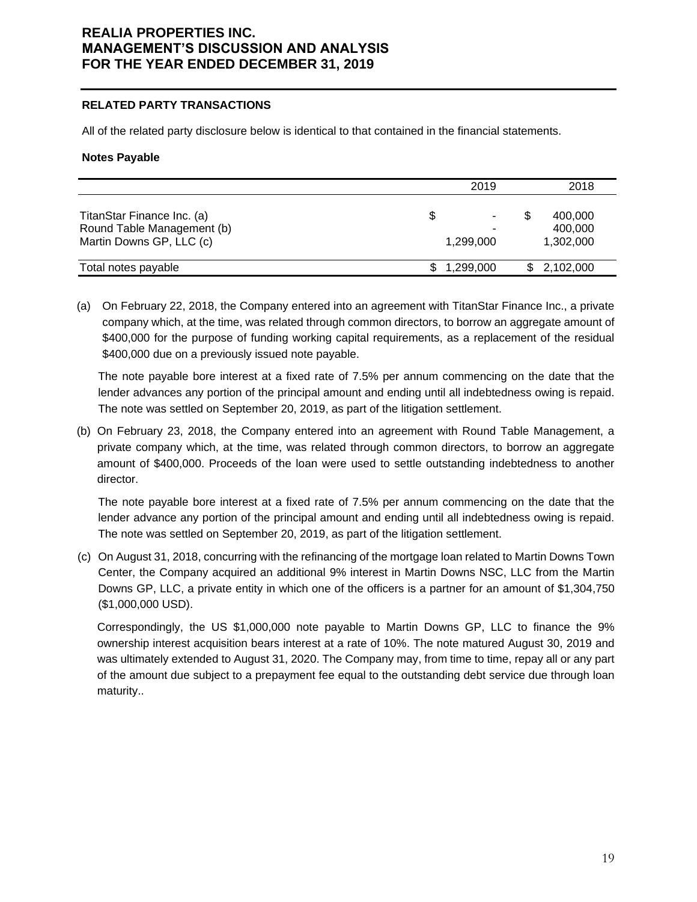### **RELATED PARTY TRANSACTIONS**

All of the related party disclosure below is identical to that contained in the financial statements.

### **Notes Payable**

|                                                                                      | 2019      |   | 2018                            |
|--------------------------------------------------------------------------------------|-----------|---|---------------------------------|
| TitanStar Finance Inc. (a)<br>Round Table Management (b)<br>Martin Downs GP, LLC (c) | 1,299,000 | S | 400,000<br>400,000<br>1,302,000 |
| Total notes payable                                                                  | 1,299,000 |   | \$2,102,000                     |

(a) On February 22, 2018, the Company entered into an agreement with TitanStar Finance Inc., a private company which, at the time, was related through common directors, to borrow an aggregate amount of \$400,000 for the purpose of funding working capital requirements, as a replacement of the residual \$400,000 due on a previously issued note payable.

The note payable bore interest at a fixed rate of 7.5% per annum commencing on the date that the lender advances any portion of the principal amount and ending until all indebtedness owing is repaid. The note was settled on September 20, 2019, as part of the litigation settlement.

(b) On February 23, 2018, the Company entered into an agreement with Round Table Management, a private company which, at the time, was related through common directors, to borrow an aggregate amount of \$400,000. Proceeds of the loan were used to settle outstanding indebtedness to another director.

The note payable bore interest at a fixed rate of 7.5% per annum commencing on the date that the lender advance any portion of the principal amount and ending until all indebtedness owing is repaid. The note was settled on September 20, 2019, as part of the litigation settlement.

(c) On August 31, 2018, concurring with the refinancing of the mortgage loan related to Martin Downs Town Center, the Company acquired an additional 9% interest in Martin Downs NSC, LLC from the Martin Downs GP, LLC, a private entity in which one of the officers is a partner for an amount of \$1,304,750 (\$1,000,000 USD).

Correspondingly, the US \$1,000,000 note payable to Martin Downs GP, LLC to finance the 9% ownership interest acquisition bears interest at a rate of 10%. The note matured August 30, 2019 and was ultimately extended to August 31, 2020. The Company may, from time to time, repay all or any part of the amount due subject to a prepayment fee equal to the outstanding debt service due through loan maturity..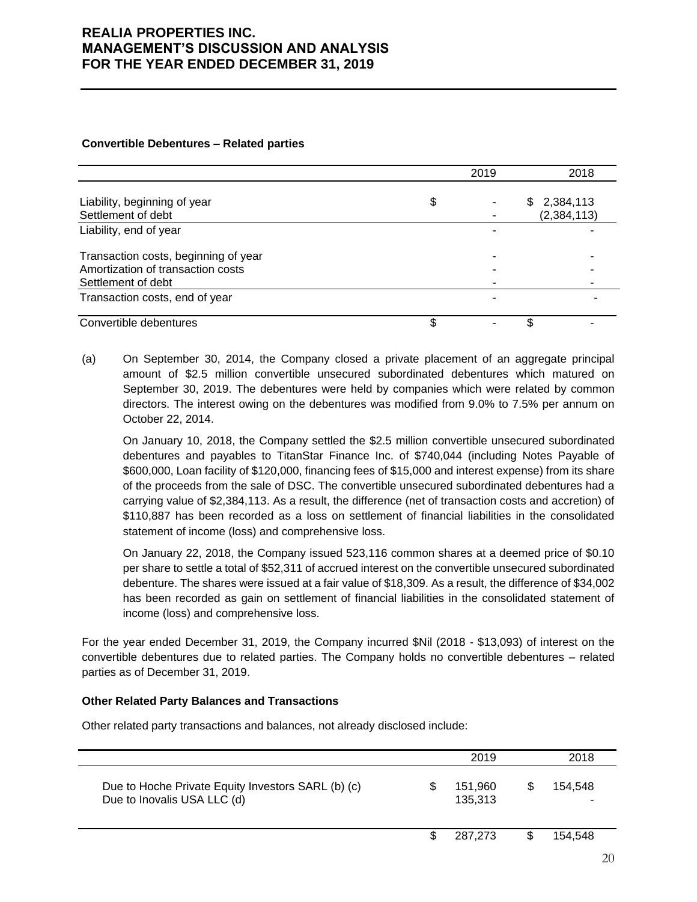|                                                                                                 | 2019 |    | 2018                       |
|-------------------------------------------------------------------------------------------------|------|----|----------------------------|
| Liability, beginning of year<br>Settlement of debt                                              | \$   | S  | 2,384,113<br>(2, 384, 113) |
| Liability, end of year                                                                          |      |    |                            |
| Transaction costs, beginning of year<br>Amortization of transaction costs<br>Settlement of debt |      |    |                            |
| Transaction costs, end of year                                                                  | -    |    |                            |
| Convertible debentures                                                                          |      | \$ |                            |

#### **Convertible Debentures – Related parties**

(a) On September 30, 2014, the Company closed a private placement of an aggregate principal amount of \$2.5 million convertible unsecured subordinated debentures which matured on September 30, 2019. The debentures were held by companies which were related by common directors. The interest owing on the debentures was modified from 9.0% to 7.5% per annum on October 22, 2014.

On January 10, 2018, the Company settled the \$2.5 million convertible unsecured subordinated debentures and payables to TitanStar Finance Inc. of \$740,044 (including Notes Payable of \$600,000, Loan facility of \$120,000, financing fees of \$15,000 and interest expense) from its share of the proceeds from the sale of DSC. The convertible unsecured subordinated debentures had a carrying value of \$2,384,113. As a result, the difference (net of transaction costs and accretion) of \$110,887 has been recorded as a loss on settlement of financial liabilities in the consolidated statement of income (loss) and comprehensive loss.

On January 22, 2018, the Company issued 523,116 common shares at a deemed price of \$0.10 per share to settle a total of \$52,311 of accrued interest on the convertible unsecured subordinated debenture. The shares were issued at a fair value of \$18,309. As a result, the difference of \$34,002 has been recorded as gain on settlement of financial liabilities in the consolidated statement of income (loss) and comprehensive loss.

For the year ended December 31, 2019, the Company incurred \$Nil (2018 - \$13,093) of interest on the convertible debentures due to related parties. The Company holds no convertible debentures – related parties as of December 31, 2019.

### **Other Related Party Balances and Transactions**

Other related party transactions and balances, not already disclosed include:

|                                                                                   |     | 2019               |    | 2018    |  |
|-----------------------------------------------------------------------------------|-----|--------------------|----|---------|--|
| Due to Hoche Private Equity Investors SARL (b) (c)<br>Due to Inovalis USA LLC (d) |     | 151,960<br>135,313 |    | 154.548 |  |
|                                                                                   | \$. | 287.273            | S. | 154.548 |  |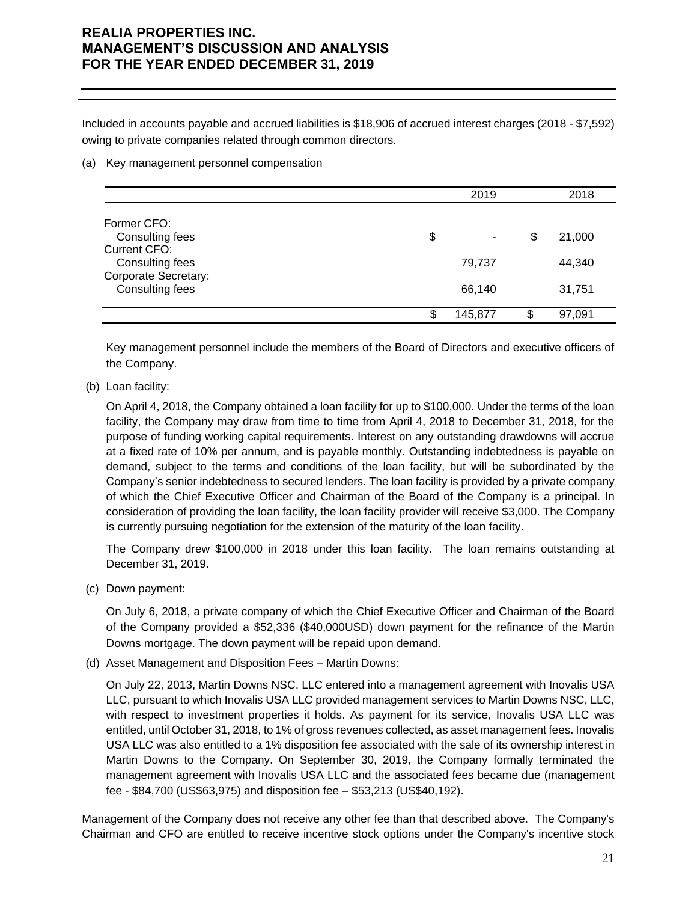Included in accounts payable and accrued liabilities is \$18,906 of accrued interest charges (2018 - \$7,592) owing to private companies related through common directors.

### (a) Key management personnel compensation

|                                         | 2019          |    | 2018   |
|-----------------------------------------|---------------|----|--------|
| Former CFO:                             |               |    |        |
| Consulting fees<br><b>Current CFO:</b>  | \$<br>۰       | \$ | 21,000 |
| Consulting fees<br>Corporate Secretary: | 79,737        |    | 44,340 |
| Consulting fees                         | 66,140        |    | 31,751 |
|                                         | \$<br>145,877 | S  | 97,091 |

Key management personnel include the members of the Board of Directors and executive officers of the Company.

(b) Loan facility:

On April 4, 2018, the Company obtained a loan facility for up to \$100,000. Under the terms of the loan facility, the Company may draw from time to time from April 4, 2018 to December 31, 2018, for the purpose of funding working capital requirements. Interest on any outstanding drawdowns will accrue at a fixed rate of 10% per annum, and is payable monthly. Outstanding indebtedness is payable on demand, subject to the terms and conditions of the loan facility, but will be subordinated by the Company's senior indebtedness to secured lenders. The loan facility is provided by a private company of which the Chief Executive Officer and Chairman of the Board of the Company is a principal. In consideration of providing the loan facility, the loan facility provider will receive \$3,000. The Company is currently pursuing negotiation for the extension of the maturity of the loan facility.

The Company drew \$100,000 in 2018 under this loan facility. The loan remains outstanding at December 31, 2019.

(c) Down payment:

On July 6, 2018, a private company of which the Chief Executive Officer and Chairman of the Board of the Company provided a \$52,336 (\$40,000USD) down payment for the refinance of the Martin Downs mortgage. The down payment will be repaid upon demand.

(d) Asset Management and Disposition Fees – Martin Downs:

On July 22, 2013, Martin Downs NSC, LLC entered into a management agreement with Inovalis USA LLC, pursuant to which Inovalis USA LLC provided management services to Martin Downs NSC, LLC, with respect to investment properties it holds. As payment for its service, Inovalis USA LLC was entitled, until October 31, 2018, to 1% of gross revenues collected, as asset management fees. Inovalis USA LLC was also entitled to a 1% disposition fee associated with the sale of its ownership interest in Martin Downs to the Company. On September 30, 2019, the Company formally terminated the management agreement with Inovalis USA LLC and the associated fees became due (management fee - \$84,700 (US\$63,975) and disposition fee – \$53,213 (US\$40,192).

Management of the Company does not receive any other fee than that described above. The Company's Chairman and CFO are entitled to receive incentive stock options under the Company's incentive stock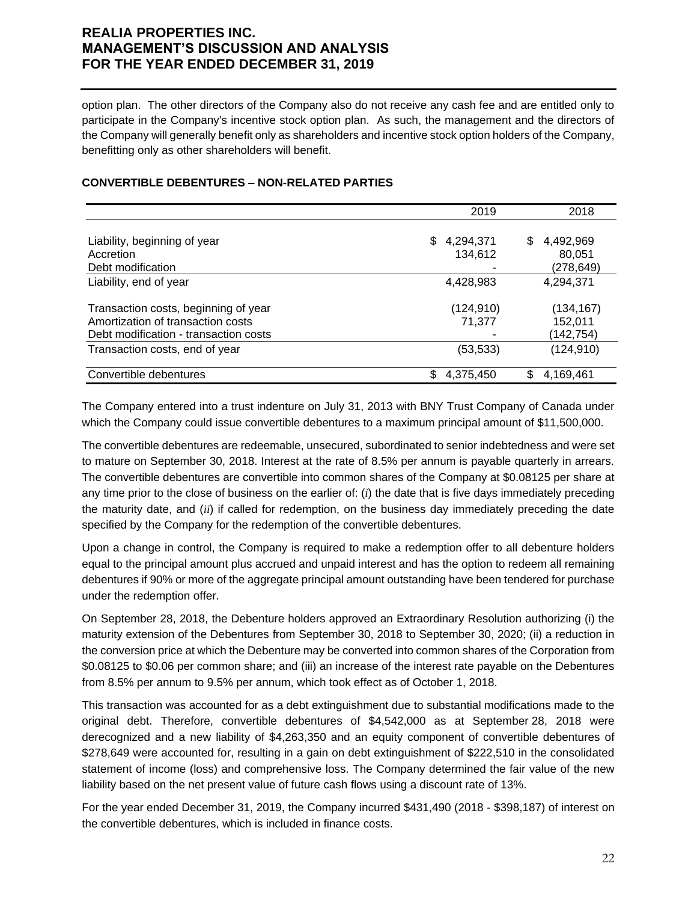option plan. The other directors of the Company also do not receive any cash fee and are entitled only to participate in the Company's incentive stock option plan. As such, the management and the directors of the Company will generally benefit only as shareholders and incentive stock option holders of the Company, benefitting only as other shareholders will benefit.

## **CONVERTIBLE DEBENTURES – NON-RELATED PARTIES**

|                                                                                                                    | 2019                        | 2018                              |
|--------------------------------------------------------------------------------------------------------------------|-----------------------------|-----------------------------------|
| Liability, beginning of year<br>Accretion                                                                          | 4,294,371<br>\$.<br>134,612 | \$<br>4,492,969<br>80,051         |
| Debt modification                                                                                                  |                             | (278,649)                         |
| Liability, end of year                                                                                             | 4,428,983                   | 4,294,371                         |
| Transaction costs, beginning of year<br>Amortization of transaction costs<br>Debt modification - transaction costs | (124,910)<br>71,377         | (134,167)<br>152,011<br>(142,754) |
| Transaction costs, end of year                                                                                     | (53, 533)                   | (124, 910)                        |
| Convertible debentures                                                                                             | 4,375,450<br>\$             | \$.<br>4,169,461                  |

The Company entered into a trust indenture on July 31, 2013 with BNY Trust Company of Canada under which the Company could issue convertible debentures to a maximum principal amount of \$11,500,000.

The convertible debentures are redeemable, unsecured, subordinated to senior indebtedness and were set to mature on September 30, 2018. Interest at the rate of 8.5% per annum is payable quarterly in arrears. The convertible debentures are convertible into common shares of the Company at \$0.08125 per share at any time prior to the close of business on the earlier of: (*i*) the date that is five days immediately preceding the maturity date, and (*ii*) if called for redemption, on the business day immediately preceding the date specified by the Company for the redemption of the convertible debentures.

Upon a change in control, the Company is required to make a redemption offer to all debenture holders equal to the principal amount plus accrued and unpaid interest and has the option to redeem all remaining debentures if 90% or more of the aggregate principal amount outstanding have been tendered for purchase under the redemption offer.

On September 28, 2018, the Debenture holders approved an Extraordinary Resolution authorizing (i) the maturity extension of the Debentures from September 30, 2018 to September 30, 2020; (ii) a reduction in the conversion price at which the Debenture may be converted into common shares of the Corporation from \$0.08125 to \$0.06 per common share; and (iii) an increase of the interest rate payable on the Debentures from 8.5% per annum to 9.5% per annum, which took effect as of October 1, 2018.

This transaction was accounted for as a debt extinguishment due to substantial modifications made to the original debt. Therefore, convertible debentures of \$4,542,000 as at September 28, 2018 were derecognized and a new liability of \$4,263,350 and an equity component of convertible debentures of \$278,649 were accounted for, resulting in a gain on debt extinguishment of \$222,510 in the consolidated statement of income (loss) and comprehensive loss. The Company determined the fair value of the new liability based on the net present value of future cash flows using a discount rate of 13%.

For the year ended December 31, 2019, the Company incurred \$431,490 (2018 - \$398,187) of interest on the convertible debentures, which is included in finance costs.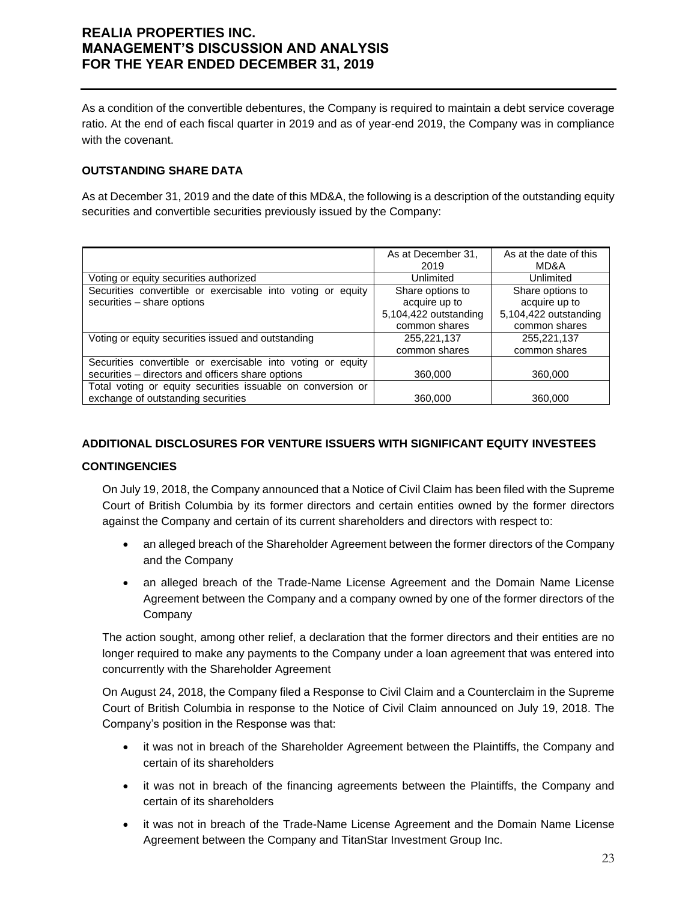As a condition of the convertible debentures, the Company is required to maintain a debt service coverage ratio. At the end of each fiscal quarter in 2019 and as of year-end 2019, the Company was in compliance with the covenant.

## **OUTSTANDING SHARE DATA**

As at December 31, 2019 and the date of this MD&A, the following is a description of the outstanding equity securities and convertible securities previously issued by the Company:

|                                                                | As at December 31.    | As at the date of this |
|----------------------------------------------------------------|-----------------------|------------------------|
|                                                                | 2019                  | MD&A                   |
| Voting or equity securities authorized                         | Unlimited             | Unlimited              |
| Securities convertible or exercisable into voting or equity    | Share options to      | Share options to       |
| securities - share options                                     | acquire up to         | acquire up to          |
|                                                                | 5,104,422 outstanding | 5,104,422 outstanding  |
|                                                                | common shares         | common shares          |
| Voting or equity securities issued and outstanding             | 255,221,137           | 255,221,137            |
|                                                                | common shares         | common shares          |
| Securities convertible or exercisable into voting or<br>equity |                       |                        |
| securities - directors and officers share options              | 360,000               | 360,000                |
| Total voting or equity securities issuable on conversion or    |                       |                        |
| exchange of outstanding securities                             | 360,000               | 360,000                |

## **ADDITIONAL DISCLOSURES FOR VENTURE ISSUERS WITH SIGNIFICANT EQUITY INVESTEES**

#### **CONTINGENCIES**

On July 19, 2018, the Company announced that a Notice of Civil Claim has been filed with the Supreme Court of British Columbia by its former directors and certain entities owned by the former directors against the Company and certain of its current shareholders and directors with respect to:

- an alleged breach of the Shareholder Agreement between the former directors of the Company and the Company
- an alleged breach of the Trade-Name License Agreement and the Domain Name License Agreement between the Company and a company owned by one of the former directors of the **Company**

The action sought, among other relief, a declaration that the former directors and their entities are no longer required to make any payments to the Company under a loan agreement that was entered into concurrently with the Shareholder Agreement

On August 24, 2018, the Company filed a Response to Civil Claim and a Counterclaim in the Supreme Court of British Columbia in response to the Notice of Civil Claim announced on July 19, 2018. The Company's position in the Response was that:

- it was not in breach of the Shareholder Agreement between the Plaintiffs, the Company and certain of its shareholders
- it was not in breach of the financing agreements between the Plaintiffs, the Company and certain of its shareholders
- it was not in breach of the Trade-Name License Agreement and the Domain Name License Agreement between the Company and TitanStar Investment Group Inc.